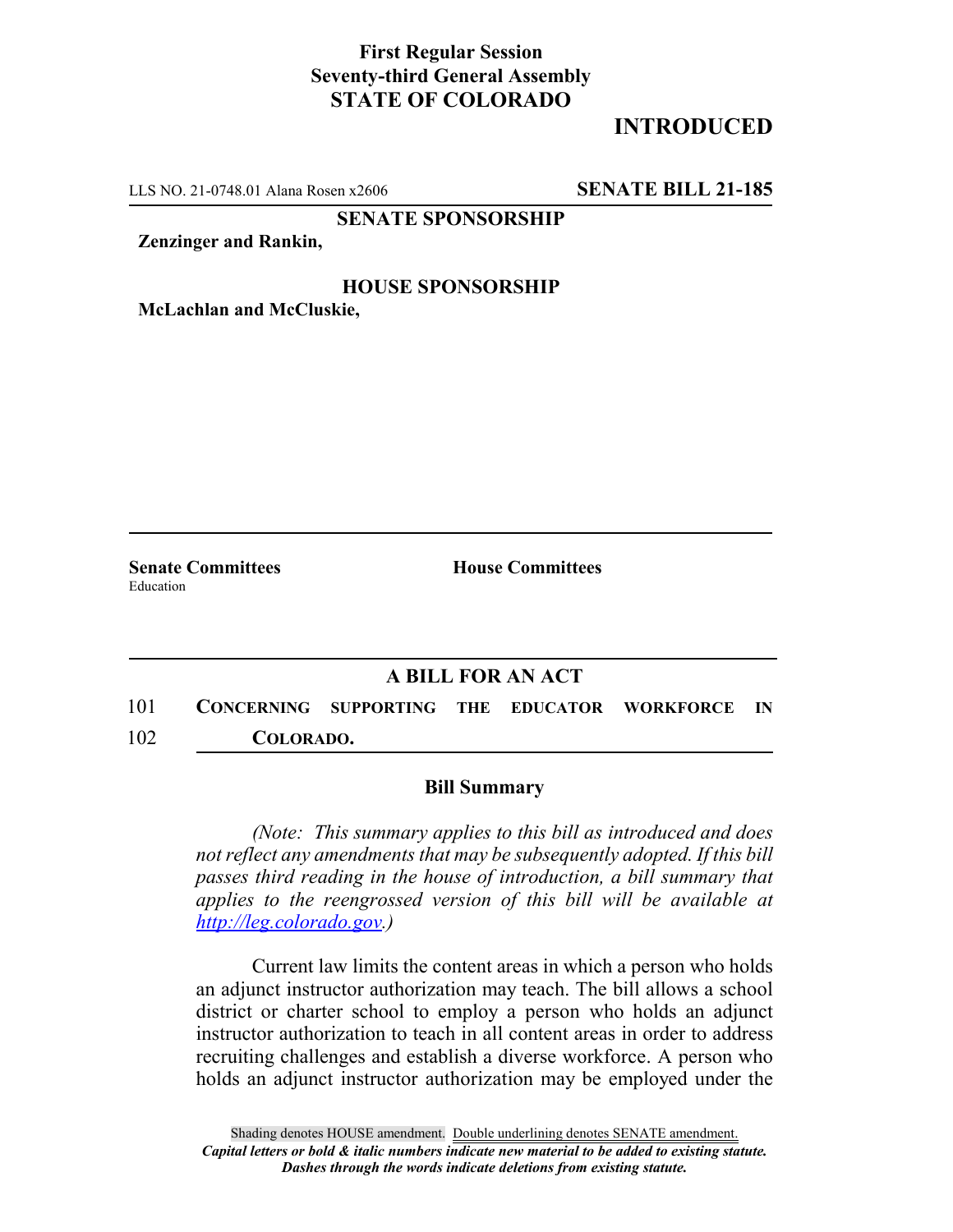### **First Regular Session Seventy-third General Assembly STATE OF COLORADO**

# **INTRODUCED**

LLS NO. 21-0748.01 Alana Rosen x2606 **SENATE BILL 21-185**

**SENATE SPONSORSHIP**

**Zenzinger and Rankin,**

#### **HOUSE SPONSORSHIP**

**McLachlan and McCluskie,**

Education

**Senate Committees House Committees** 

### **A BILL FOR AN ACT**

101 **CONCERNING SUPPORTING THE EDUCATOR WORKFORCE IN** 102 **COLORADO.**

#### **Bill Summary**

*(Note: This summary applies to this bill as introduced and does not reflect any amendments that may be subsequently adopted. If this bill passes third reading in the house of introduction, a bill summary that applies to the reengrossed version of this bill will be available at http://leg.colorado.gov.)*

Current law limits the content areas in which a person who holds an adjunct instructor authorization may teach. The bill allows a school district or charter school to employ a person who holds an adjunct instructor authorization to teach in all content areas in order to address recruiting challenges and establish a diverse workforce. A person who holds an adjunct instructor authorization may be employed under the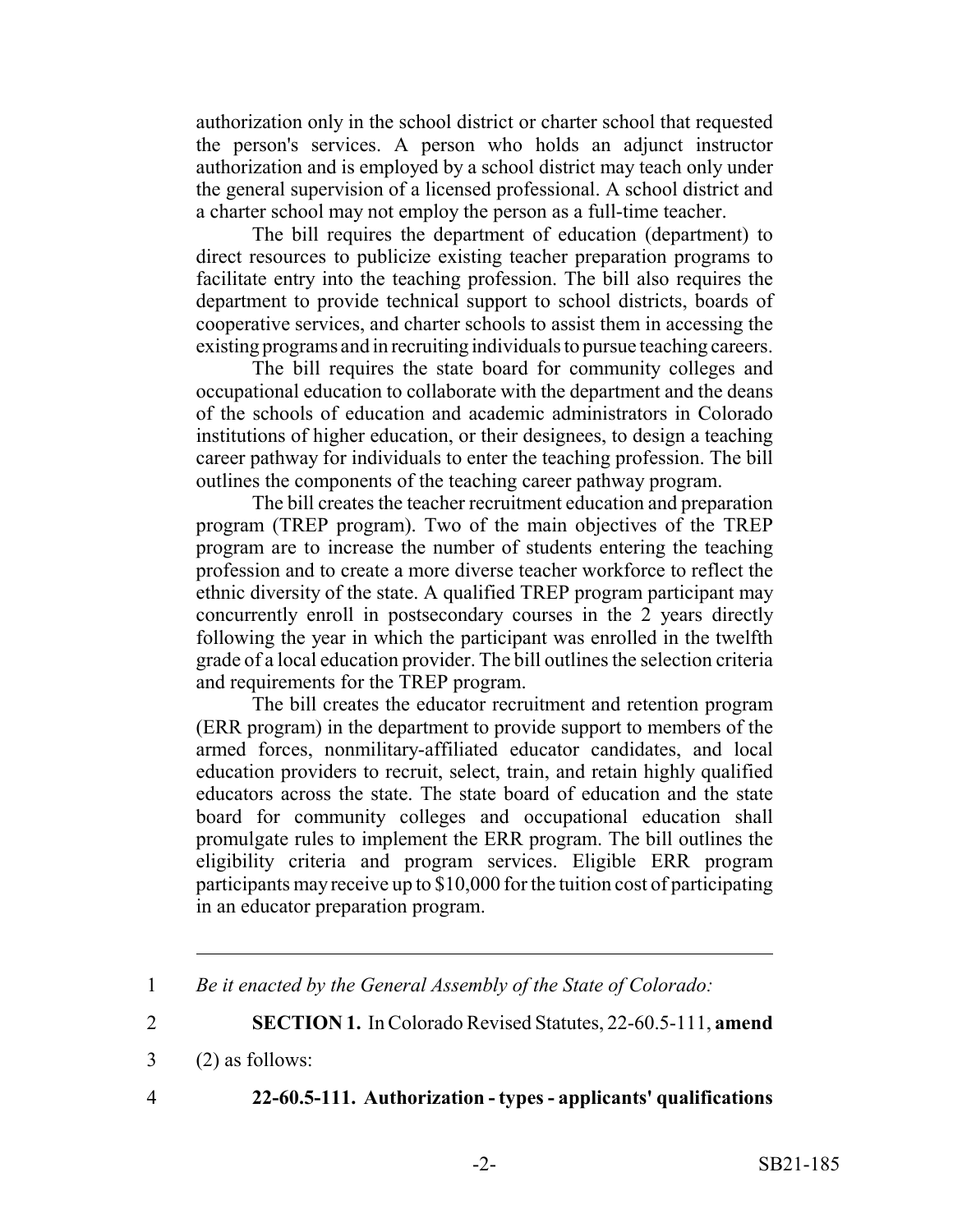authorization only in the school district or charter school that requested the person's services. A person who holds an adjunct instructor authorization and is employed by a school district may teach only under the general supervision of a licensed professional. A school district and a charter school may not employ the person as a full-time teacher.

The bill requires the department of education (department) to direct resources to publicize existing teacher preparation programs to facilitate entry into the teaching profession. The bill also requires the department to provide technical support to school districts, boards of cooperative services, and charter schools to assist them in accessing the existing programs and in recruiting individuals to pursue teaching careers.

The bill requires the state board for community colleges and occupational education to collaborate with the department and the deans of the schools of education and academic administrators in Colorado institutions of higher education, or their designees, to design a teaching career pathway for individuals to enter the teaching profession. The bill outlines the components of the teaching career pathway program.

The bill creates the teacher recruitment education and preparation program (TREP program). Two of the main objectives of the TREP program are to increase the number of students entering the teaching profession and to create a more diverse teacher workforce to reflect the ethnic diversity of the state. A qualified TREP program participant may concurrently enroll in postsecondary courses in the 2 years directly following the year in which the participant was enrolled in the twelfth grade of a local education provider. The bill outlines the selection criteria and requirements for the TREP program.

The bill creates the educator recruitment and retention program (ERR program) in the department to provide support to members of the armed forces, nonmilitary-affiliated educator candidates, and local education providers to recruit, select, train, and retain highly qualified educators across the state. The state board of education and the state board for community colleges and occupational education shall promulgate rules to implement the ERR program. The bill outlines the eligibility criteria and program services. Eligible ERR program participants may receive up to \$10,000 for the tuition cost of participating in an educator preparation program.

- 3 (2) as follows:
- 

# 4 **22-60.5-111. Authorization - types - applicants' qualifications**

<sup>1</sup> *Be it enacted by the General Assembly of the State of Colorado:*

<sup>2</sup> **SECTION 1.** In Colorado Revised Statutes, 22-60.5-111, **amend**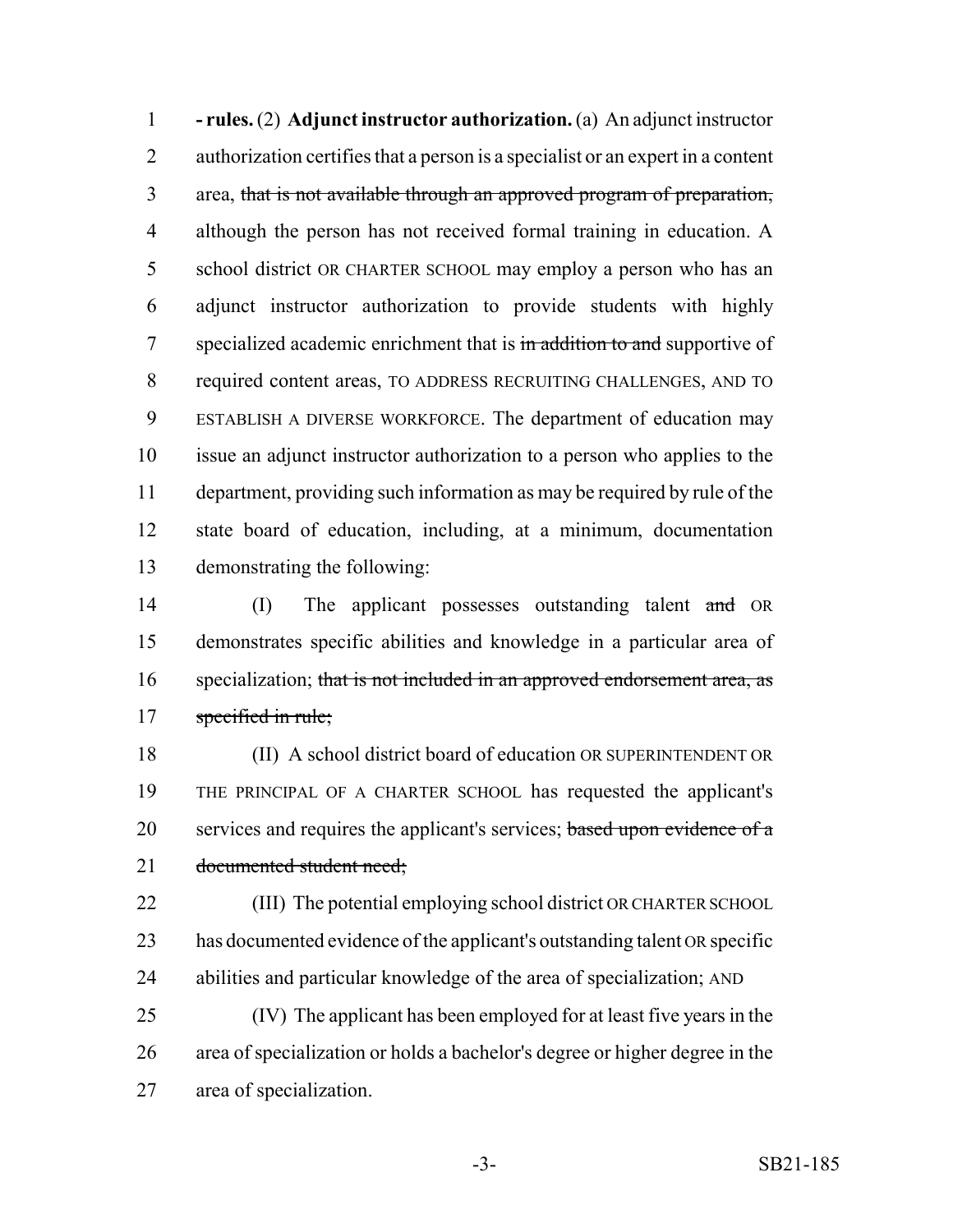**- rules.** (2) **Adjunct instructor authorization.** (a) An adjunct instructor authorization certifies that a person is a specialist or an expert in a content area, that is not available through an approved program of preparation, although the person has not received formal training in education. A school district OR CHARTER SCHOOL may employ a person who has an adjunct instructor authorization to provide students with highly 7 specialized academic enrichment that is in addition to and supportive of required content areas, TO ADDRESS RECRUITING CHALLENGES, AND TO ESTABLISH A DIVERSE WORKFORCE. The department of education may issue an adjunct instructor authorization to a person who applies to the department, providing such information as may be required by rule of the state board of education, including, at a minimum, documentation demonstrating the following:

14 (I) The applicant possesses outstanding talent and OR demonstrates specific abilities and knowledge in a particular area of 16 specialization; that is not included in an approved endorsement area, as specified in rule;

 (II) A school district board of education OR SUPERINTENDENT OR THE PRINCIPAL OF A CHARTER SCHOOL has requested the applicant's 20 services and requires the applicant's services; based upon evidence of a documented student need;

 (III) The potential employing school district OR CHARTER SCHOOL has documented evidence of the applicant's outstanding talent OR specific abilities and particular knowledge of the area of specialization; AND

 (IV) The applicant has been employed for at least five years in the area of specialization or holds a bachelor's degree or higher degree in the area of specialization.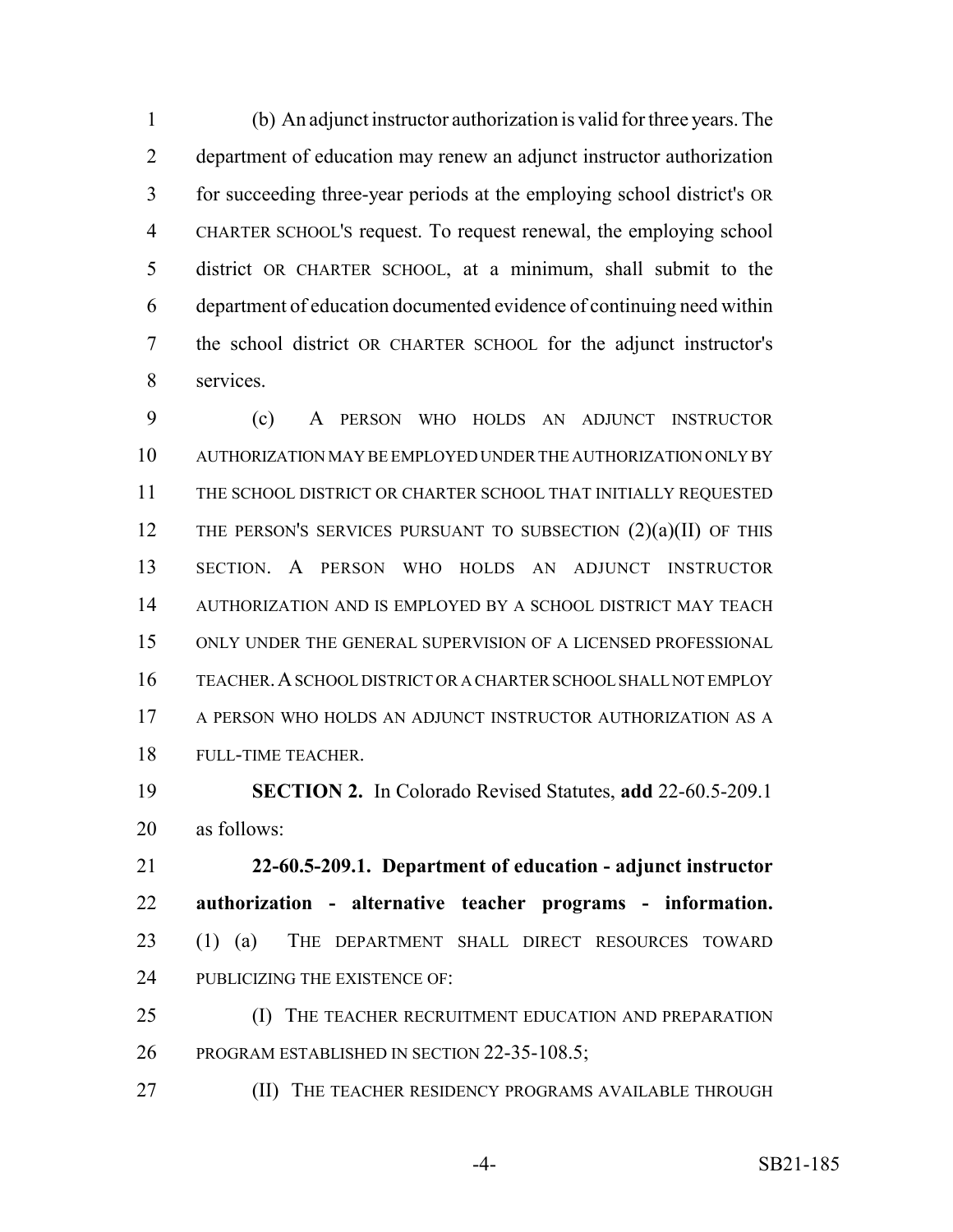(b) An adjunct instructor authorization is valid for three years. The department of education may renew an adjunct instructor authorization for succeeding three-year periods at the employing school district's OR CHARTER SCHOOL'S request. To request renewal, the employing school district OR CHARTER SCHOOL, at a minimum, shall submit to the department of education documented evidence of continuing need within the school district OR CHARTER SCHOOL for the adjunct instructor's services.

 (c) A PERSON WHO HOLDS AN ADJUNCT INSTRUCTOR AUTHORIZATION MAY BE EMPLOYED UNDER THE AUTHORIZATION ONLY BY THE SCHOOL DISTRICT OR CHARTER SCHOOL THAT INITIALLY REQUESTED 12 THE PERSON'S SERVICES PURSUANT TO SUBSECTION  $(2)(a)(II)$  of this SECTION. A PERSON WHO HOLDS AN ADJUNCT INSTRUCTOR AUTHORIZATION AND IS EMPLOYED BY A SCHOOL DISTRICT MAY TEACH ONLY UNDER THE GENERAL SUPERVISION OF A LICENSED PROFESSIONAL TEACHER.A SCHOOL DISTRICT OR A CHARTER SCHOOL SHALL NOT EMPLOY A PERSON WHO HOLDS AN ADJUNCT INSTRUCTOR AUTHORIZATION AS A FULL-TIME TEACHER.

 **SECTION 2.** In Colorado Revised Statutes, **add** 22-60.5-209.1 as follows:

 **22-60.5-209.1. Department of education - adjunct instructor authorization - alternative teacher programs - information.** (1) (a) THE DEPARTMENT SHALL DIRECT RESOURCES TOWARD 24 PUBLICIZING THE EXISTENCE OF:

25 (I) THE TEACHER RECRUITMENT EDUCATION AND PREPARATION PROGRAM ESTABLISHED IN SECTION 22-35-108.5;

**(II) THE TEACHER RESIDENCY PROGRAMS AVAILABLE THROUGH** 

-4- SB21-185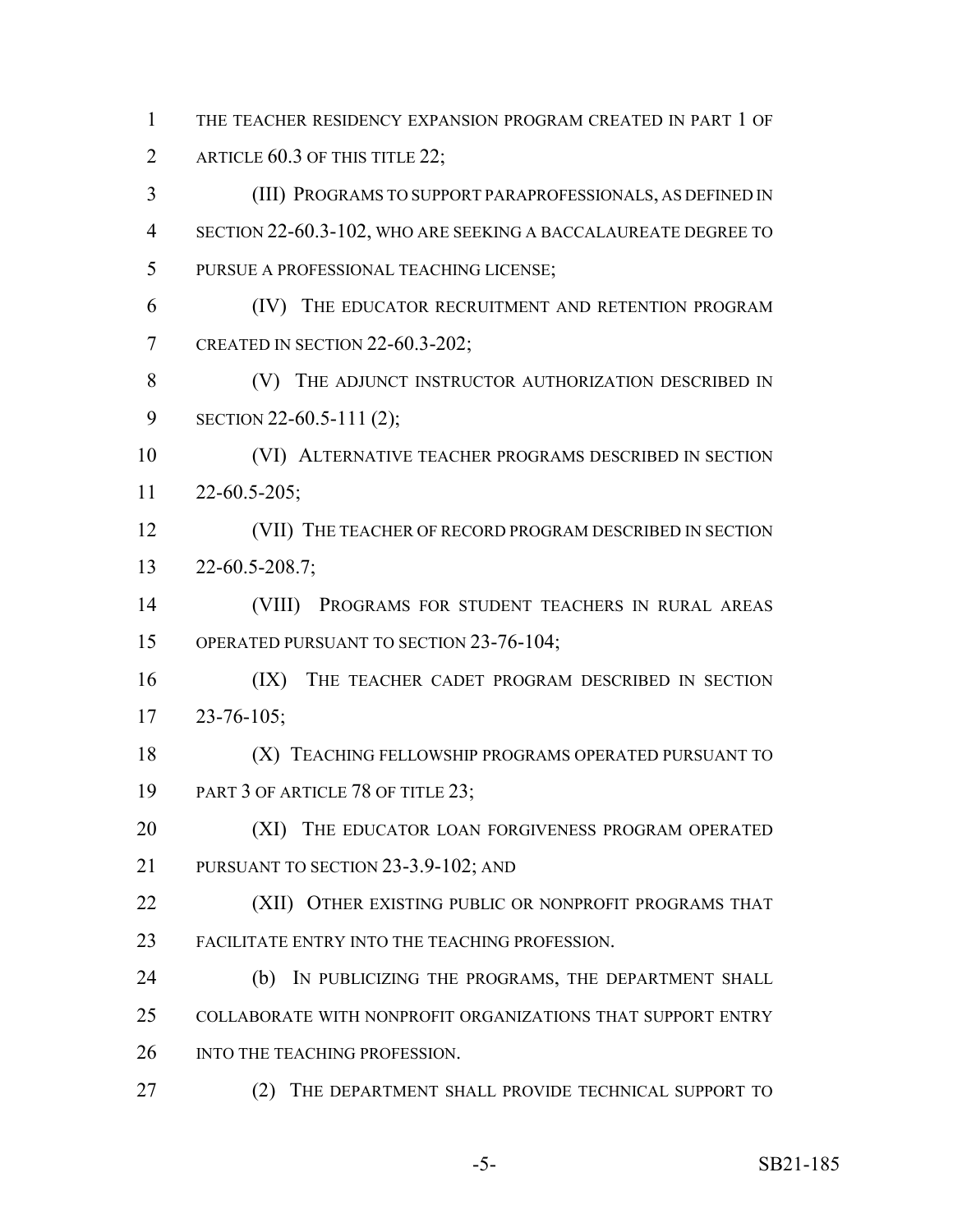THE TEACHER RESIDENCY EXPANSION PROGRAM CREATED IN PART 1 OF 2 ARTICLE 60.3 OF THIS TITLE 22; (III) PROGRAMS TO SUPPORT PARAPROFESSIONALS, AS DEFINED IN SECTION 22-60.3-102, WHO ARE SEEKING A BACCALAUREATE DEGREE TO PURSUE A PROFESSIONAL TEACHING LICENSE;

 (IV) THE EDUCATOR RECRUITMENT AND RETENTION PROGRAM CREATED IN SECTION 22-60.3-202;

 (V) THE ADJUNCT INSTRUCTOR AUTHORIZATION DESCRIBED IN SECTION 22-60.5-111 (2);

 (VI) ALTERNATIVE TEACHER PROGRAMS DESCRIBED IN SECTION 22-60.5-205;

12 (VII) THE TEACHER OF RECORD PROGRAM DESCRIBED IN SECTION 22-60.5-208.7;

 (VIII) PROGRAMS FOR STUDENT TEACHERS IN RURAL AREAS 15 OPERATED PURSUANT TO SECTION 23-76-104;

16 (IX) THE TEACHER CADET PROGRAM DESCRIBED IN SECTION 23-76-105;

18 (X) TEACHING FELLOWSHIP PROGRAMS OPERATED PURSUANT TO 19 PART 3 OF ARTICLE 78 OF TITLE 23;

20 (XI) THE EDUCATOR LOAN FORGIVENESS PROGRAM OPERATED 21 PURSUANT TO SECTION 23-3.9-102; AND

**(XII) OTHER EXISTING PUBLIC OR NONPROFIT PROGRAMS THAT** FACILITATE ENTRY INTO THE TEACHING PROFESSION.

 (b) IN PUBLICIZING THE PROGRAMS, THE DEPARTMENT SHALL COLLABORATE WITH NONPROFIT ORGANIZATIONS THAT SUPPORT ENTRY

26 INTO THE TEACHING PROFESSION.

27 (2) THE DEPARTMENT SHALL PROVIDE TECHNICAL SUPPORT TO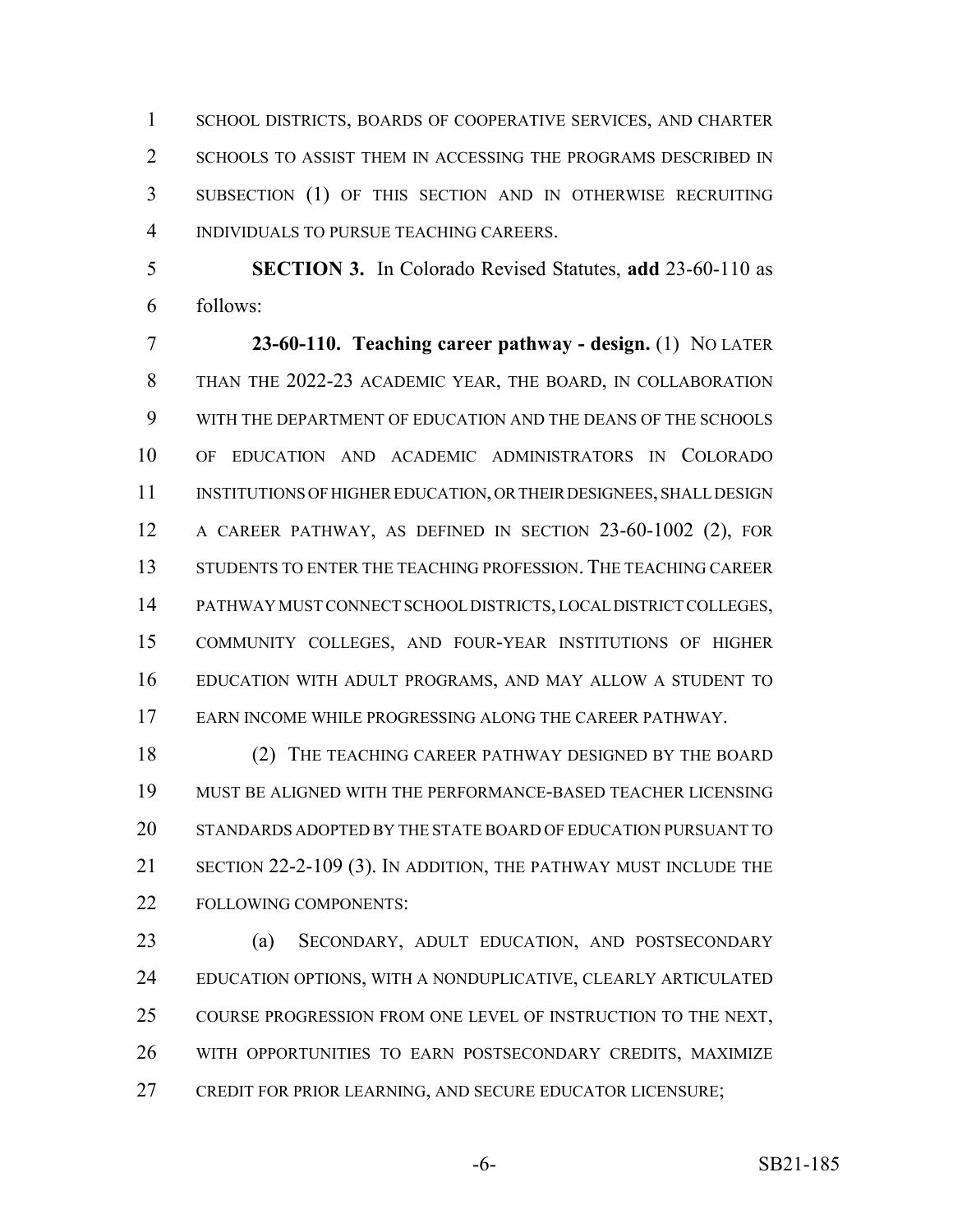SCHOOL DISTRICTS, BOARDS OF COOPERATIVE SERVICES, AND CHARTER 2 SCHOOLS TO ASSIST THEM IN ACCESSING THE PROGRAMS DESCRIBED IN SUBSECTION (1) OF THIS SECTION AND IN OTHERWISE RECRUITING INDIVIDUALS TO PURSUE TEACHING CAREERS.

 **SECTION 3.** In Colorado Revised Statutes, **add** 23-60-110 as follows:

 **23-60-110. Teaching career pathway - design.** (1) NO LATER THAN THE 2022-23 ACADEMIC YEAR, THE BOARD, IN COLLABORATION WITH THE DEPARTMENT OF EDUCATION AND THE DEANS OF THE SCHOOLS OF EDUCATION AND ACADEMIC ADMINISTRATORS IN COLORADO INSTITUTIONS OF HIGHER EDUCATION, OR THEIR DESIGNEES, SHALL DESIGN A CAREER PATHWAY, AS DEFINED IN SECTION 23-60-1002 (2), FOR STUDENTS TO ENTER THE TEACHING PROFESSION. THE TEACHING CAREER PATHWAY MUST CONNECT SCHOOL DISTRICTS, LOCAL DISTRICT COLLEGES, COMMUNITY COLLEGES, AND FOUR-YEAR INSTITUTIONS OF HIGHER EDUCATION WITH ADULT PROGRAMS, AND MAY ALLOW A STUDENT TO EARN INCOME WHILE PROGRESSING ALONG THE CAREER PATHWAY.

 (2) THE TEACHING CAREER PATHWAY DESIGNED BY THE BOARD MUST BE ALIGNED WITH THE PERFORMANCE-BASED TEACHER LICENSING STANDARDS ADOPTED BY THE STATE BOARD OF EDUCATION PURSUANT TO SECTION 22-2-109 (3). IN ADDITION, THE PATHWAY MUST INCLUDE THE FOLLOWING COMPONENTS:

 (a) SECONDARY, ADULT EDUCATION, AND POSTSECONDARY EDUCATION OPTIONS, WITH A NONDUPLICATIVE, CLEARLY ARTICULATED COURSE PROGRESSION FROM ONE LEVEL OF INSTRUCTION TO THE NEXT, WITH OPPORTUNITIES TO EARN POSTSECONDARY CREDITS, MAXIMIZE CREDIT FOR PRIOR LEARNING, AND SECURE EDUCATOR LICENSURE;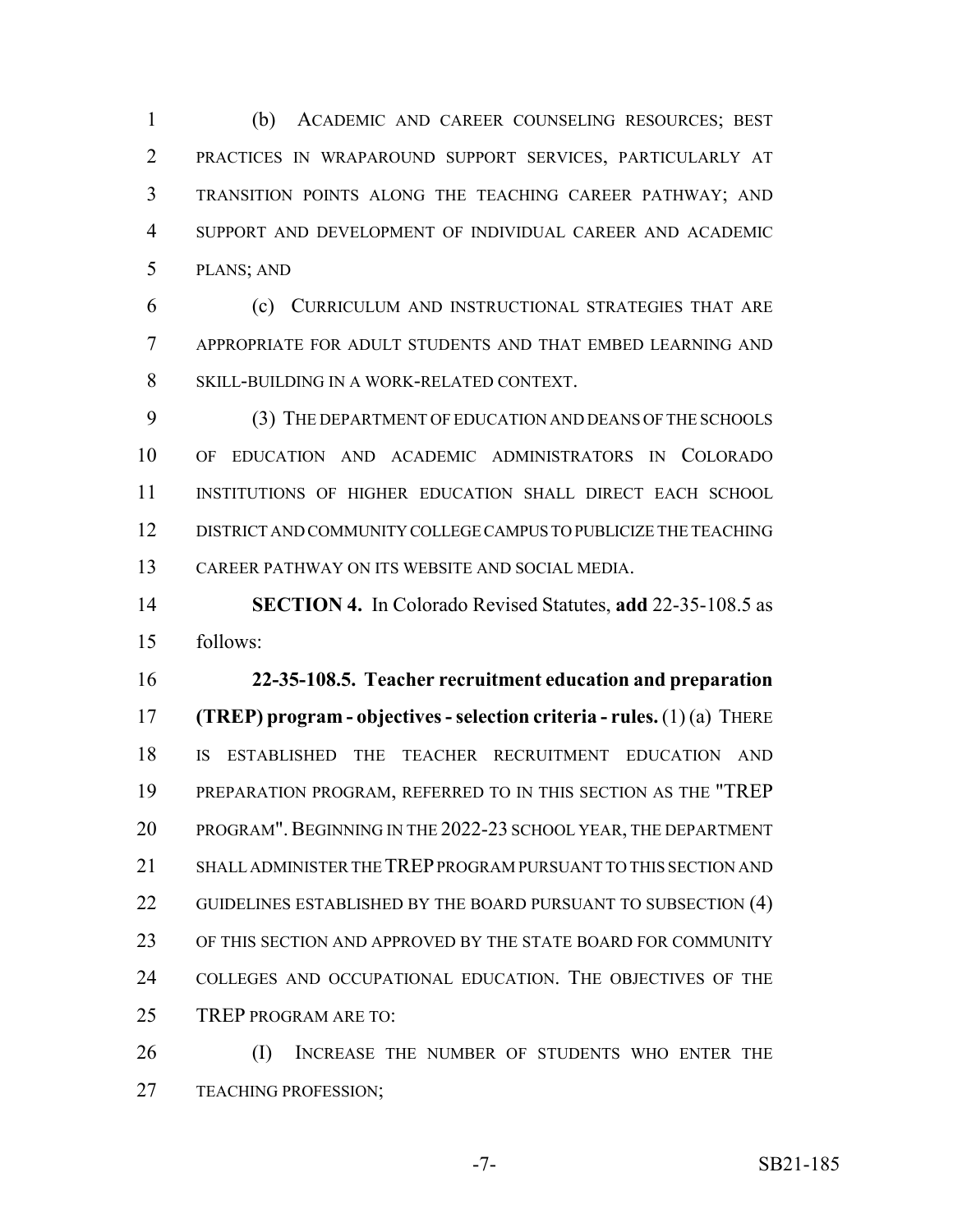(b) ACADEMIC AND CAREER COUNSELING RESOURCES; BEST PRACTICES IN WRAPAROUND SUPPORT SERVICES, PARTICULARLY AT TRANSITION POINTS ALONG THE TEACHING CAREER PATHWAY; AND SUPPORT AND DEVELOPMENT OF INDIVIDUAL CAREER AND ACADEMIC PLANS; AND

 (c) CURRICULUM AND INSTRUCTIONAL STRATEGIES THAT ARE APPROPRIATE FOR ADULT STUDENTS AND THAT EMBED LEARNING AND SKILL-BUILDING IN A WORK-RELATED CONTEXT.

 (3) THE DEPARTMENT OF EDUCATION AND DEANS OF THE SCHOOLS OF EDUCATION AND ACADEMIC ADMINISTRATORS IN COLORADO INSTITUTIONS OF HIGHER EDUCATION SHALL DIRECT EACH SCHOOL DISTRICT AND COMMUNITY COLLEGE CAMPUS TO PUBLICIZE THE TEACHING CAREER PATHWAY ON ITS WEBSITE AND SOCIAL MEDIA.

 **SECTION 4.** In Colorado Revised Statutes, **add** 22-35-108.5 as follows:

 **22-35-108.5. Teacher recruitment education and preparation (TREP) program - objectives - selection criteria - rules.** (1) (a) THERE IS ESTABLISHED THE TEACHER RECRUITMENT EDUCATION AND PREPARATION PROGRAM, REFERRED TO IN THIS SECTION AS THE "TREP 20 PROGRAM". BEGINNING IN THE 2022-23 SCHOOL YEAR, THE DEPARTMENT SHALL ADMINISTER THE TREP PROGRAM PURSUANT TO THIS SECTION AND 22 GUIDELINES ESTABLISHED BY THE BOARD PURSUANT TO SUBSECTION (4) OF THIS SECTION AND APPROVED BY THE STATE BOARD FOR COMMUNITY COLLEGES AND OCCUPATIONAL EDUCATION. THE OBJECTIVES OF THE TREP PROGRAM ARE TO:

 (I) INCREASE THE NUMBER OF STUDENTS WHO ENTER THE TEACHING PROFESSION;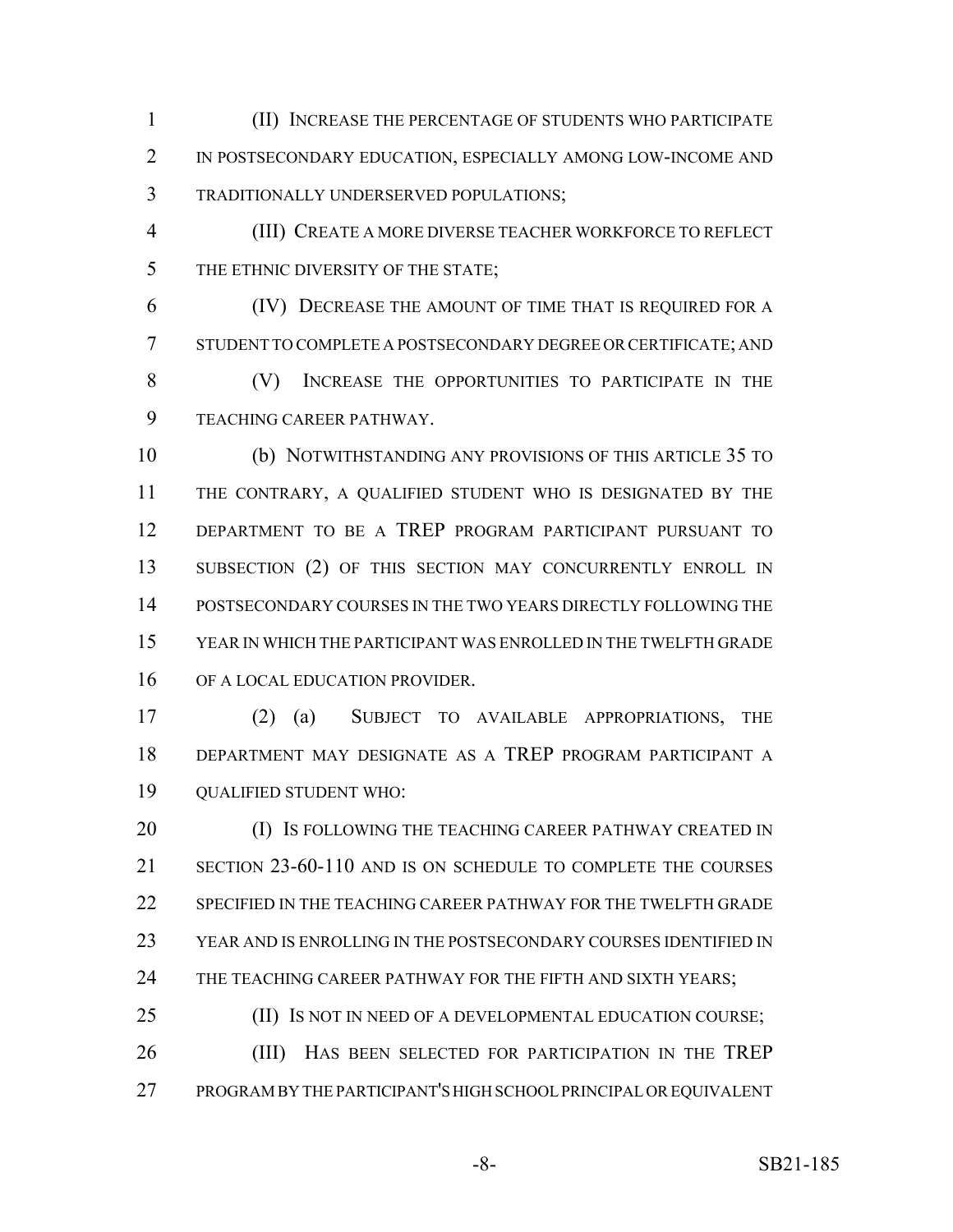(II) INCREASE THE PERCENTAGE OF STUDENTS WHO PARTICIPATE IN POSTSECONDARY EDUCATION, ESPECIALLY AMONG LOW-INCOME AND TRADITIONALLY UNDERSERVED POPULATIONS;

 (III) CREATE A MORE DIVERSE TEACHER WORKFORCE TO REFLECT 5 THE ETHNIC DIVERSITY OF THE STATE;

 (IV) DECREASE THE AMOUNT OF TIME THAT IS REQUIRED FOR A STUDENT TO COMPLETE A POSTSECONDARY DEGREE OR CERTIFICATE; AND (V) INCREASE THE OPPORTUNITIES TO PARTICIPATE IN THE TEACHING CAREER PATHWAY.

 (b) NOTWITHSTANDING ANY PROVISIONS OF THIS ARTICLE 35 TO THE CONTRARY, A QUALIFIED STUDENT WHO IS DESIGNATED BY THE DEPARTMENT TO BE A TREP PROGRAM PARTICIPANT PURSUANT TO 13 SUBSECTION (2) OF THIS SECTION MAY CONCURRENTLY ENROLL IN POSTSECONDARY COURSES IN THE TWO YEARS DIRECTLY FOLLOWING THE YEAR IN WHICH THE PARTICIPANT WAS ENROLLED IN THE TWELFTH GRADE 16 OF A LOCAL EDUCATION PROVIDER.

 (2) (a) SUBJECT TO AVAILABLE APPROPRIATIONS, THE DEPARTMENT MAY DESIGNATE AS A TREP PROGRAM PARTICIPANT A QUALIFIED STUDENT WHO:

**(I) IS FOLLOWING THE TEACHING CAREER PATHWAY CREATED IN**  SECTION 23-60-110 AND IS ON SCHEDULE TO COMPLETE THE COURSES 22 SPECIFIED IN THE TEACHING CAREER PATHWAY FOR THE TWELFTH GRADE YEAR AND IS ENROLLING IN THE POSTSECONDARY COURSES IDENTIFIED IN 24 THE TEACHING CAREER PATHWAY FOR THE FIFTH AND SIXTH YEARS;

25 (II) IS NOT IN NEED OF A DEVELOPMENTAL EDUCATION COURSE; (III) HAS BEEN SELECTED FOR PARTICIPATION IN THE TREP PROGRAM BY THE PARTICIPANT'S HIGH SCHOOL PRINCIPAL OR EQUIVALENT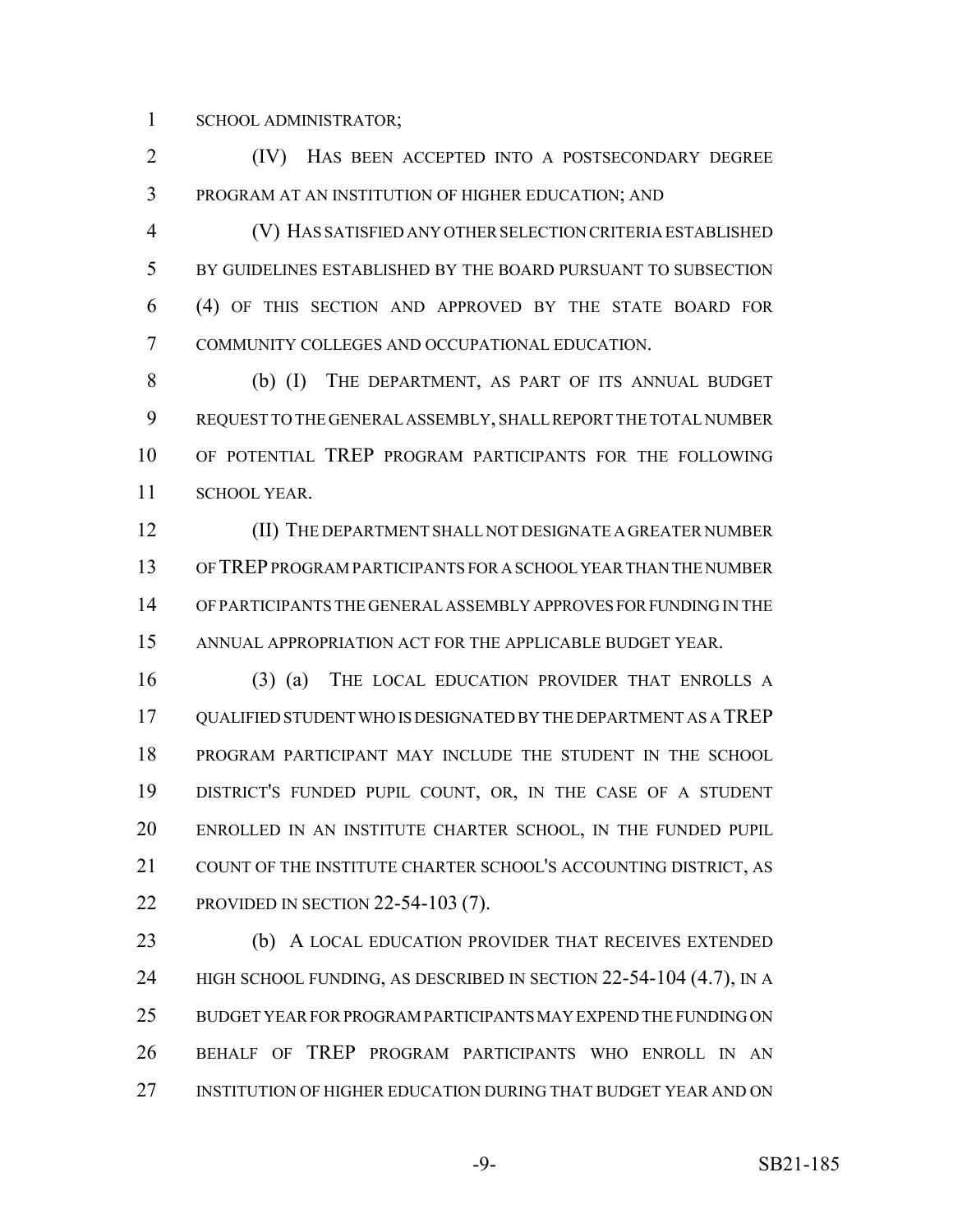SCHOOL ADMINISTRATOR;

 (IV) HAS BEEN ACCEPTED INTO A POSTSECONDARY DEGREE PROGRAM AT AN INSTITUTION OF HIGHER EDUCATION; AND

 (V) HAS SATISFIED ANY OTHER SELECTION CRITERIA ESTABLISHED BY GUIDELINES ESTABLISHED BY THE BOARD PURSUANT TO SUBSECTION (4) OF THIS SECTION AND APPROVED BY THE STATE BOARD FOR COMMUNITY COLLEGES AND OCCUPATIONAL EDUCATION.

 (b) (I) THE DEPARTMENT, AS PART OF ITS ANNUAL BUDGET REQUEST TO THE GENERAL ASSEMBLY, SHALL REPORT THE TOTAL NUMBER OF POTENTIAL TREP PROGRAM PARTICIPANTS FOR THE FOLLOWING SCHOOL YEAR.

 (II) THE DEPARTMENT SHALL NOT DESIGNATE A GREATER NUMBER OF TREP PROGRAM PARTICIPANTS FOR A SCHOOL YEAR THAN THE NUMBER OF PARTICIPANTS THE GENERAL ASSEMBLY APPROVES FOR FUNDING IN THE ANNUAL APPROPRIATION ACT FOR THE APPLICABLE BUDGET YEAR.

 (3) (a) THE LOCAL EDUCATION PROVIDER THAT ENROLLS A QUALIFIED STUDENT WHO IS DESIGNATED BY THE DEPARTMENT AS A TREP PROGRAM PARTICIPANT MAY INCLUDE THE STUDENT IN THE SCHOOL DISTRICT'S FUNDED PUPIL COUNT, OR, IN THE CASE OF A STUDENT ENROLLED IN AN INSTITUTE CHARTER SCHOOL, IN THE FUNDED PUPIL 21 COUNT OF THE INSTITUTE CHARTER SCHOOL'S ACCOUNTING DISTRICT, AS PROVIDED IN SECTION 22-54-103 (7).

 (b) A LOCAL EDUCATION PROVIDER THAT RECEIVES EXTENDED 24 HIGH SCHOOL FUNDING, AS DESCRIBED IN SECTION 22-54-104 (4.7), IN A BUDGET YEAR FOR PROGRAM PARTICIPANTS MAY EXPEND THE FUNDING ON BEHALF OF TREP PROGRAM PARTICIPANTS WHO ENROLL IN AN INSTITUTION OF HIGHER EDUCATION DURING THAT BUDGET YEAR AND ON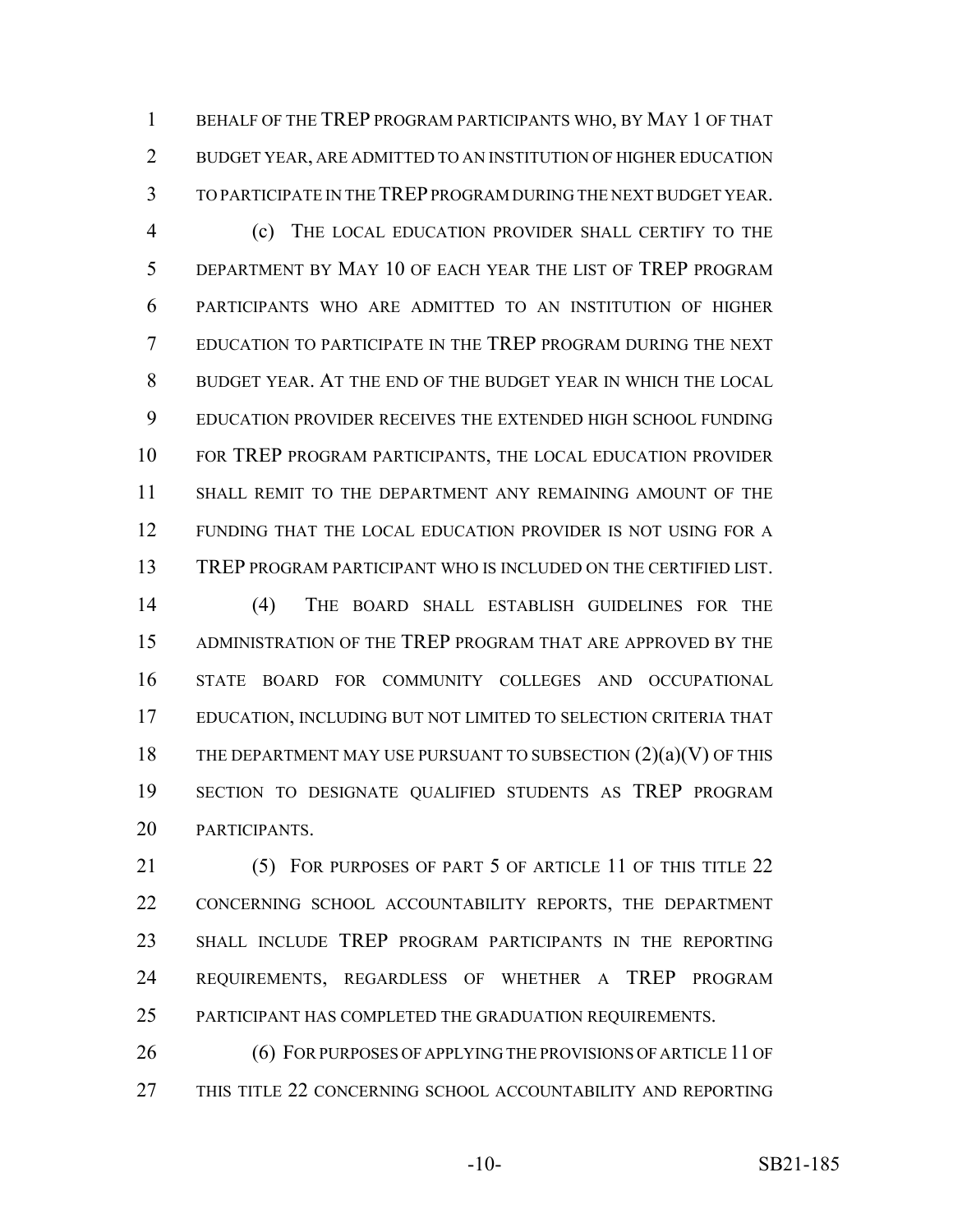BEHALF OF THE TREP PROGRAM PARTICIPANTS WHO, BY MAY 1 OF THAT BUDGET YEAR, ARE ADMITTED TO AN INSTITUTION OF HIGHER EDUCATION TO PARTICIPATE IN THE TREP PROGRAM DURING THE NEXT BUDGET YEAR.

 (c) THE LOCAL EDUCATION PROVIDER SHALL CERTIFY TO THE DEPARTMENT BY MAY 10 OF EACH YEAR THE LIST OF TREP PROGRAM PARTICIPANTS WHO ARE ADMITTED TO AN INSTITUTION OF HIGHER EDUCATION TO PARTICIPATE IN THE TREP PROGRAM DURING THE NEXT BUDGET YEAR. AT THE END OF THE BUDGET YEAR IN WHICH THE LOCAL EDUCATION PROVIDER RECEIVES THE EXTENDED HIGH SCHOOL FUNDING FOR TREP PROGRAM PARTICIPANTS, THE LOCAL EDUCATION PROVIDER SHALL REMIT TO THE DEPARTMENT ANY REMAINING AMOUNT OF THE FUNDING THAT THE LOCAL EDUCATION PROVIDER IS NOT USING FOR A TREP PROGRAM PARTICIPANT WHO IS INCLUDED ON THE CERTIFIED LIST.

 (4) THE BOARD SHALL ESTABLISH GUIDELINES FOR THE ADMINISTRATION OF THE TREP PROGRAM THAT ARE APPROVED BY THE STATE BOARD FOR COMMUNITY COLLEGES AND OCCUPATIONAL EDUCATION, INCLUDING BUT NOT LIMITED TO SELECTION CRITERIA THAT 18 THE DEPARTMENT MAY USE PURSUANT TO SUBSECTION  $(2)(a)(V)$  OF THIS SECTION TO DESIGNATE QUALIFIED STUDENTS AS TREP PROGRAM PARTICIPANTS.

21 (5) FOR PURPOSES OF PART 5 OF ARTICLE 11 OF THIS TITLE 22 CONCERNING SCHOOL ACCOUNTABILITY REPORTS, THE DEPARTMENT SHALL INCLUDE TREP PROGRAM PARTICIPANTS IN THE REPORTING REQUIREMENTS, REGARDLESS OF WHETHER A TREP PROGRAM PARTICIPANT HAS COMPLETED THE GRADUATION REQUIREMENTS.

26 (6) FOR PURPOSES OF APPLYING THE PROVISIONS OF ARTICLE 11 OF THIS TITLE 22 CONCERNING SCHOOL ACCOUNTABILITY AND REPORTING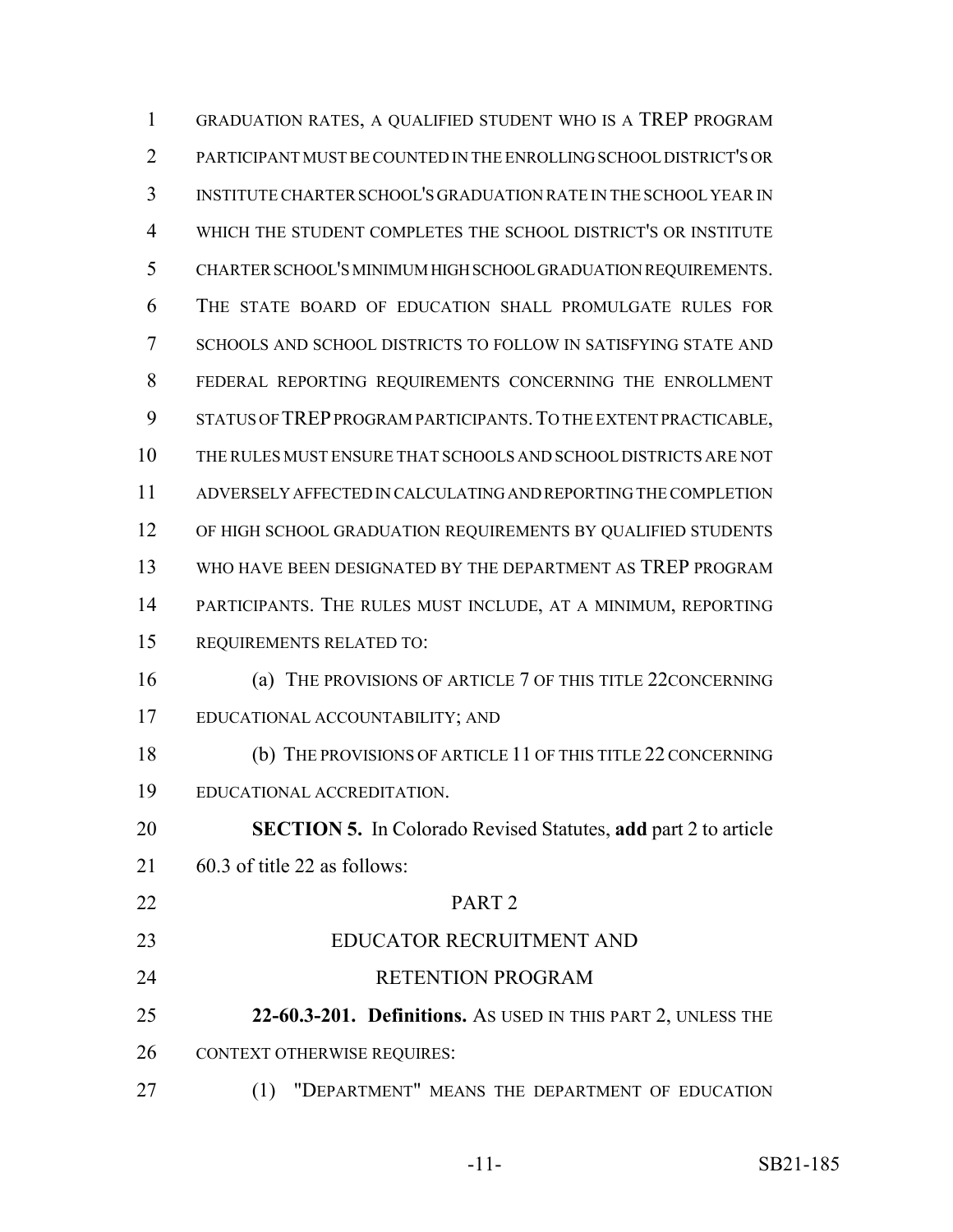GRADUATION RATES, A QUALIFIED STUDENT WHO IS A TREP PROGRAM PARTICIPANT MUST BE COUNTED IN THE ENROLLING SCHOOL DISTRICT'S OR INSTITUTE CHARTER SCHOOL'S GRADUATION RATE IN THE SCHOOL YEAR IN WHICH THE STUDENT COMPLETES THE SCHOOL DISTRICT'S OR INSTITUTE CHARTER SCHOOL'S MINIMUM HIGH SCHOOL GRADUATION REQUIREMENTS. THE STATE BOARD OF EDUCATION SHALL PROMULGATE RULES FOR SCHOOLS AND SCHOOL DISTRICTS TO FOLLOW IN SATISFYING STATE AND FEDERAL REPORTING REQUIREMENTS CONCERNING THE ENROLLMENT 9 STATUS OF TREP PROGRAM PARTICIPANTS. TO THE EXTENT PRACTICABLE, THE RULES MUST ENSURE THAT SCHOOLS AND SCHOOL DISTRICTS ARE NOT ADVERSELY AFFECTED IN CALCULATING AND REPORTING THE COMPLETION 12 OF HIGH SCHOOL GRADUATION REQUIREMENTS BY QUALIFIED STUDENTS WHO HAVE BEEN DESIGNATED BY THE DEPARTMENT AS TREP PROGRAM PARTICIPANTS. THE RULES MUST INCLUDE, AT A MINIMUM, REPORTING REQUIREMENTS RELATED TO: (a) THE PROVISIONS OF ARTICLE 7 OF THIS TITLE 22CONCERNING EDUCATIONAL ACCOUNTABILITY; AND (b) THE PROVISIONS OF ARTICLE 11 OF THIS TITLE 22 CONCERNING EDUCATIONAL ACCREDITATION. **SECTION 5.** In Colorado Revised Statutes, **add** part 2 to article 60.3 of title 22 as follows: PART 2 EDUCATOR RECRUITMENT AND 24 RETENTION PROGRAM **22-60.3-201. Definitions.** AS USED IN THIS PART 2, UNLESS THE 26 CONTEXT OTHERWISE REQUIRES: (1) "DEPARTMENT" MEANS THE DEPARTMENT OF EDUCATION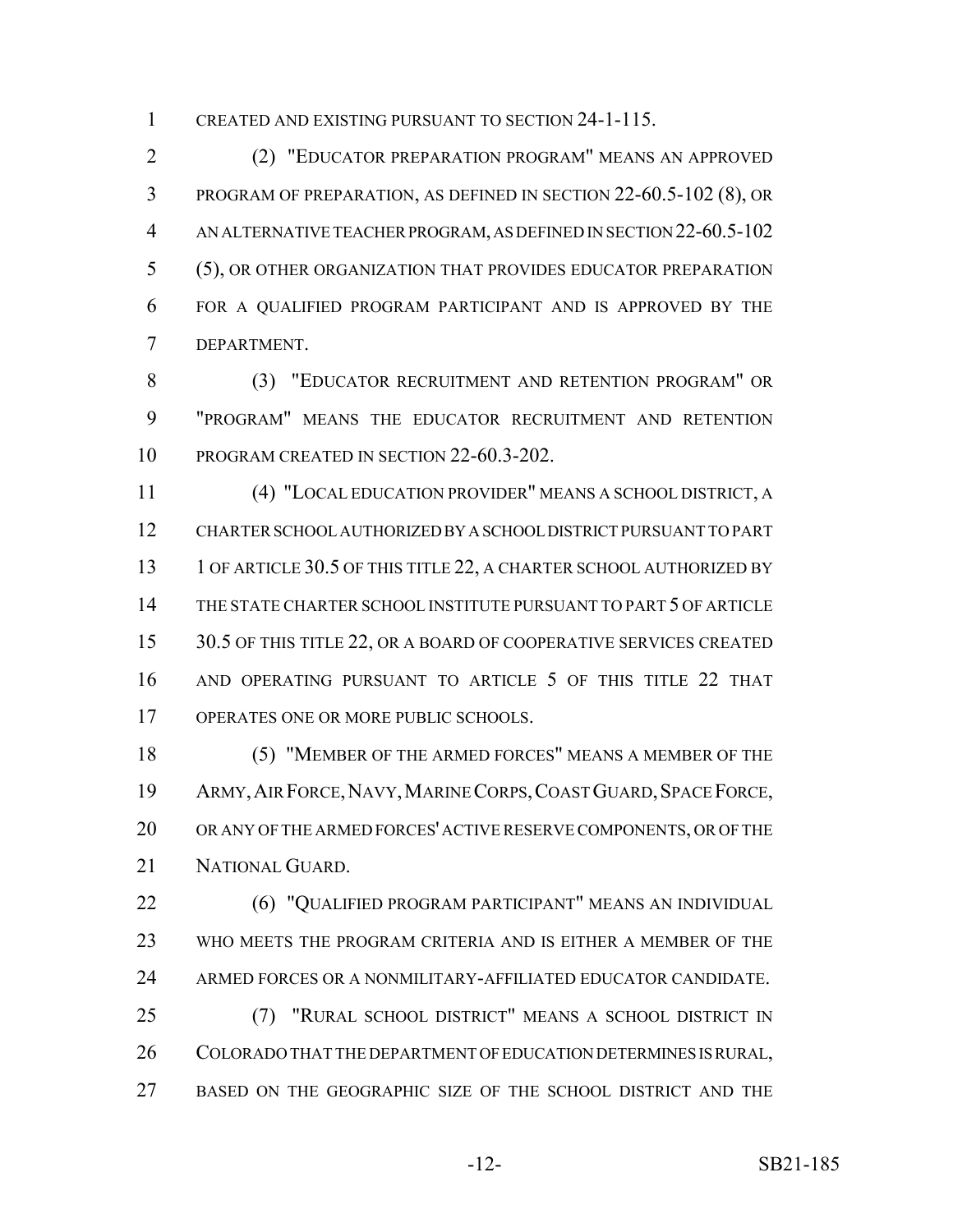CREATED AND EXISTING PURSUANT TO SECTION 24-1-115.

 (2) "EDUCATOR PREPARATION PROGRAM" MEANS AN APPROVED PROGRAM OF PREPARATION, AS DEFINED IN SECTION 22-60.5-102 (8), OR AN ALTERNATIVE TEACHER PROGRAM, AS DEFINED IN SECTION 22-60.5-102 (5), OR OTHER ORGANIZATION THAT PROVIDES EDUCATOR PREPARATION FOR A QUALIFIED PROGRAM PARTICIPANT AND IS APPROVED BY THE DEPARTMENT.

 (3) "EDUCATOR RECRUITMENT AND RETENTION PROGRAM" OR "PROGRAM" MEANS THE EDUCATOR RECRUITMENT AND RETENTION PROGRAM CREATED IN SECTION 22-60.3-202.

 (4) "LOCAL EDUCATION PROVIDER" MEANS A SCHOOL DISTRICT, A CHARTER SCHOOL AUTHORIZED BY A SCHOOL DISTRICT PURSUANT TO PART 13 1 OF ARTICLE 30.5 OF THIS TITLE 22, A CHARTER SCHOOL AUTHORIZED BY THE STATE CHARTER SCHOOL INSTITUTE PURSUANT TO PART 5 OF ARTICLE 15 30.5 OF THIS TITLE 22, OR A BOARD OF COOPERATIVE SERVICES CREATED AND OPERATING PURSUANT TO ARTICLE 5 OF THIS TITLE 22 THAT OPERATES ONE OR MORE PUBLIC SCHOOLS.

 (5) "MEMBER OF THE ARMED FORCES" MEANS A MEMBER OF THE 19 ARMY, AIR FORCE, NAVY, MARINE CORPS, COAST GUARD, SPACE FORCE, OR ANY OF THE ARMED FORCES' ACTIVE RESERVE COMPONENTS, OR OF THE NATIONAL GUARD.

 (6) "QUALIFIED PROGRAM PARTICIPANT" MEANS AN INDIVIDUAL WHO MEETS THE PROGRAM CRITERIA AND IS EITHER A MEMBER OF THE ARMED FORCES OR A NONMILITARY-AFFILIATED EDUCATOR CANDIDATE.

 (7) "RURAL SCHOOL DISTRICT" MEANS A SCHOOL DISTRICT IN COLORADO THAT THE DEPARTMENT OF EDUCATION DETERMINES IS RURAL, BASED ON THE GEOGRAPHIC SIZE OF THE SCHOOL DISTRICT AND THE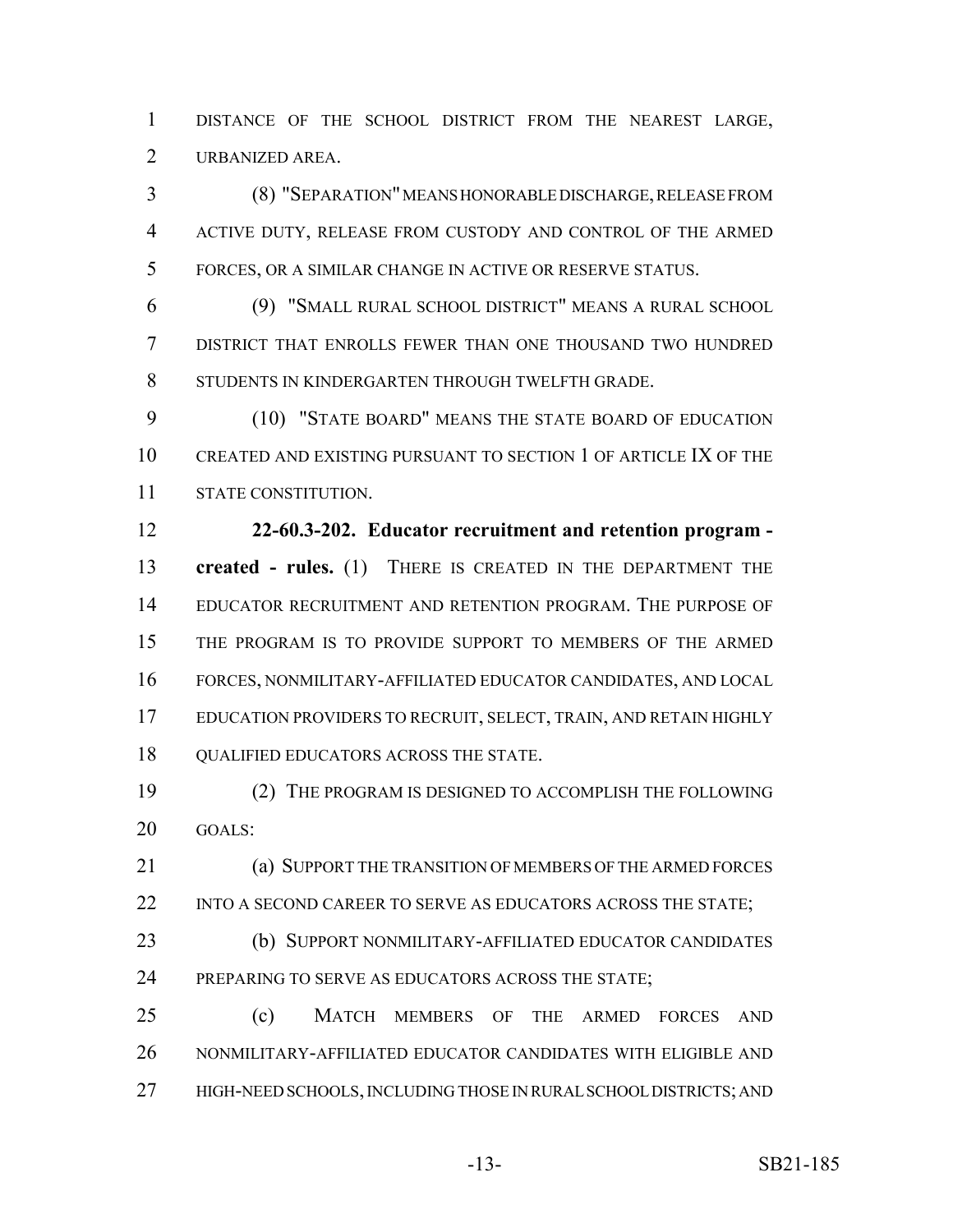DISTANCE OF THE SCHOOL DISTRICT FROM THE NEAREST LARGE, URBANIZED AREA.

 (8) "SEPARATION" MEANS HONORABLE DISCHARGE, RELEASE FROM ACTIVE DUTY, RELEASE FROM CUSTODY AND CONTROL OF THE ARMED FORCES, OR A SIMILAR CHANGE IN ACTIVE OR RESERVE STATUS.

 (9) "SMALL RURAL SCHOOL DISTRICT" MEANS A RURAL SCHOOL DISTRICT THAT ENROLLS FEWER THAN ONE THOUSAND TWO HUNDRED STUDENTS IN KINDERGARTEN THROUGH TWELFTH GRADE.

 (10) "STATE BOARD" MEANS THE STATE BOARD OF EDUCATION CREATED AND EXISTING PURSUANT TO SECTION 1 OF ARTICLE IX OF THE STATE CONSTITUTION.

 **22-60.3-202. Educator recruitment and retention program - created - rules.** (1) THERE IS CREATED IN THE DEPARTMENT THE EDUCATOR RECRUITMENT AND RETENTION PROGRAM. THE PURPOSE OF THE PROGRAM IS TO PROVIDE SUPPORT TO MEMBERS OF THE ARMED FORCES, NONMILITARY-AFFILIATED EDUCATOR CANDIDATES, AND LOCAL 17 EDUCATION PROVIDERS TO RECRUIT, SELECT, TRAIN, AND RETAIN HIGHLY **QUALIFIED EDUCATORS ACROSS THE STATE.** 

 (2) THE PROGRAM IS DESIGNED TO ACCOMPLISH THE FOLLOWING GOALS:

 (a) SUPPORT THE TRANSITION OF MEMBERS OF THE ARMED FORCES 22 INTO A SECOND CAREER TO SERVE AS EDUCATORS ACROSS THE STATE;

 (b) SUPPORT NONMILITARY-AFFILIATED EDUCATOR CANDIDATES 24 PREPARING TO SERVE AS EDUCATORS ACROSS THE STATE;

 (c) MATCH MEMBERS OF THE ARMED FORCES AND NONMILITARY-AFFILIATED EDUCATOR CANDIDATES WITH ELIGIBLE AND 27 HIGH-NEED SCHOOLS, INCLUDING THOSE IN RURAL SCHOOL DISTRICTS; AND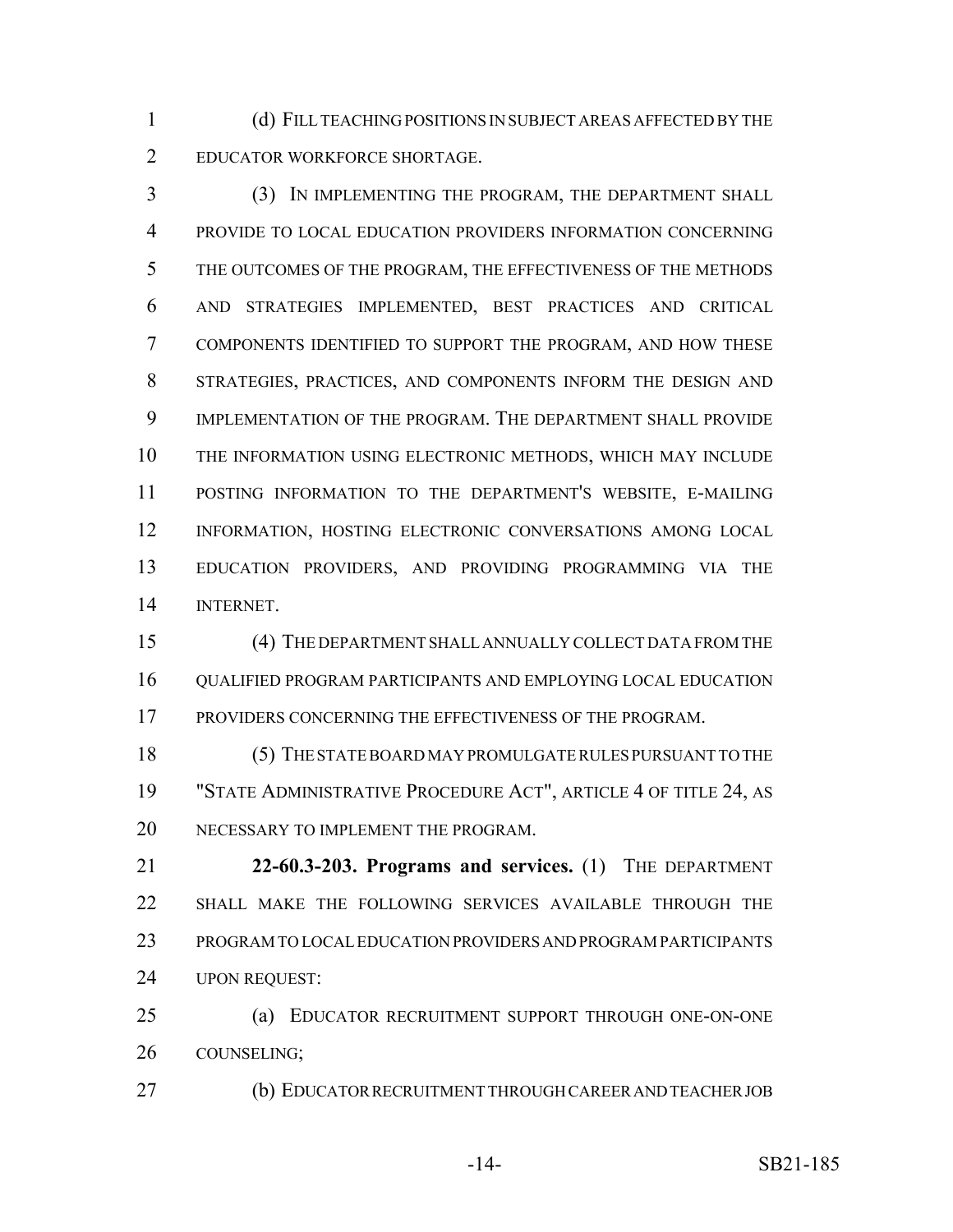(d) FILL TEACHING POSITIONS IN SUBJECT AREAS AFFECTED BY THE EDUCATOR WORKFORCE SHORTAGE.

 (3) IN IMPLEMENTING THE PROGRAM, THE DEPARTMENT SHALL PROVIDE TO LOCAL EDUCATION PROVIDERS INFORMATION CONCERNING THE OUTCOMES OF THE PROGRAM, THE EFFECTIVENESS OF THE METHODS AND STRATEGIES IMPLEMENTED, BEST PRACTICES AND CRITICAL COMPONENTS IDENTIFIED TO SUPPORT THE PROGRAM, AND HOW THESE STRATEGIES, PRACTICES, AND COMPONENTS INFORM THE DESIGN AND IMPLEMENTATION OF THE PROGRAM. THE DEPARTMENT SHALL PROVIDE THE INFORMATION USING ELECTRONIC METHODS, WHICH MAY INCLUDE POSTING INFORMATION TO THE DEPARTMENT'S WEBSITE, E-MAILING INFORMATION, HOSTING ELECTRONIC CONVERSATIONS AMONG LOCAL EDUCATION PROVIDERS, AND PROVIDING PROGRAMMING VIA THE INTERNET.

 (4) THE DEPARTMENT SHALL ANNUALLY COLLECT DATA FROM THE QUALIFIED PROGRAM PARTICIPANTS AND EMPLOYING LOCAL EDUCATION 17 PROVIDERS CONCERNING THE EFFECTIVENESS OF THE PROGRAM.

 (5) THE STATE BOARD MAY PROMULGATE RULES PURSUANT TO THE "STATE ADMINISTRATIVE PROCEDURE ACT", ARTICLE 4 OF TITLE 24, AS 20 NECESSARY TO IMPLEMENT THE PROGRAM.

 **22-60.3-203. Programs and services.** (1) THE DEPARTMENT SHALL MAKE THE FOLLOWING SERVICES AVAILABLE THROUGH THE PROGRAM TO LOCAL EDUCATION PROVIDERS AND PROGRAM PARTICIPANTS UPON REQUEST:

 (a) EDUCATOR RECRUITMENT SUPPORT THROUGH ONE-ON-ONE COUNSELING;

(b) EDUCATOR RECRUITMENT THROUGH CAREER AND TEACHER JOB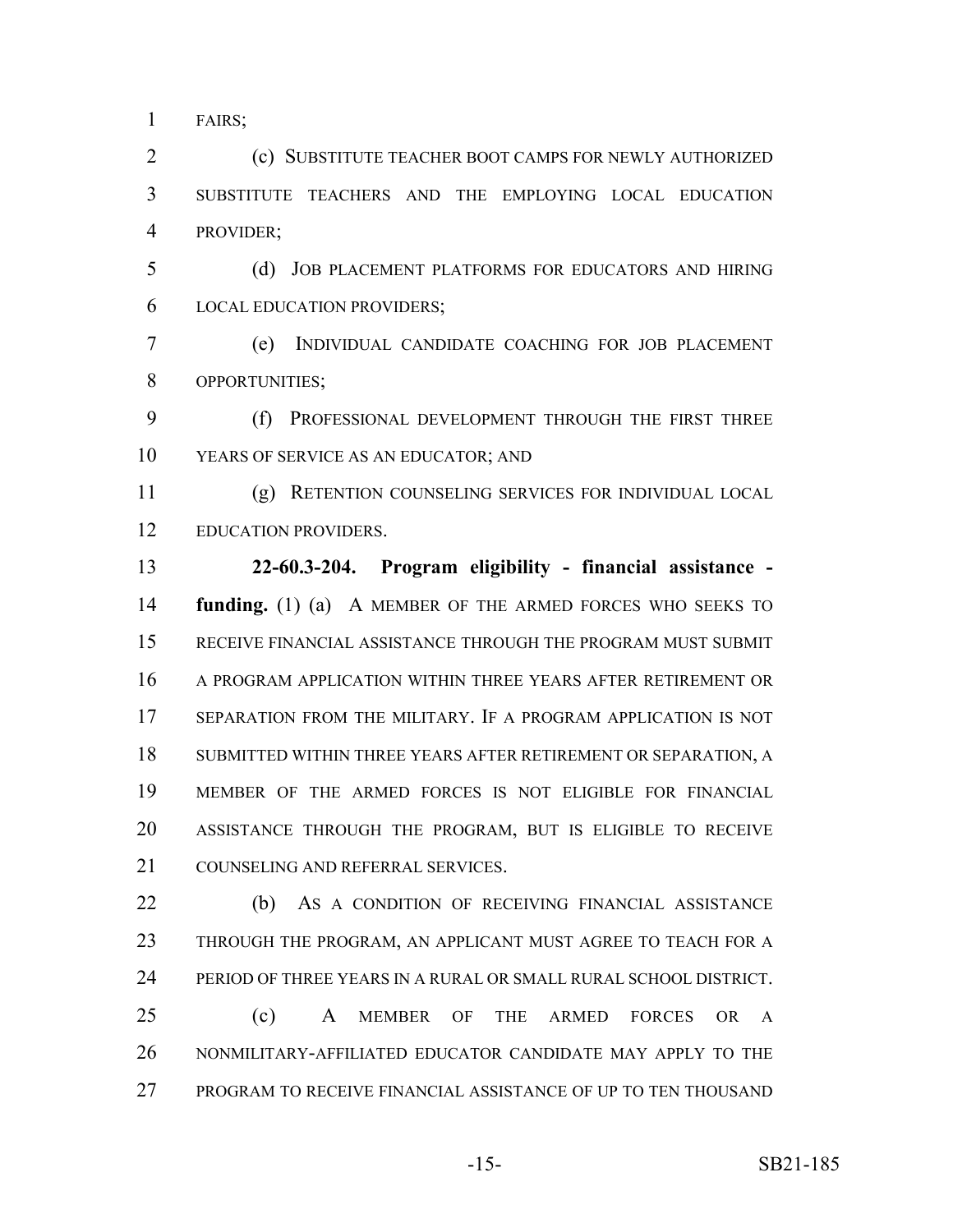FAIRS;

 (c) SUBSTITUTE TEACHER BOOT CAMPS FOR NEWLY AUTHORIZED SUBSTITUTE TEACHERS AND THE EMPLOYING LOCAL EDUCATION PROVIDER;

 (d) JOB PLACEMENT PLATFORMS FOR EDUCATORS AND HIRING LOCAL EDUCATION PROVIDERS;

 (e) INDIVIDUAL CANDIDATE COACHING FOR JOB PLACEMENT OPPORTUNITIES;

 (f) PROFESSIONAL DEVELOPMENT THROUGH THE FIRST THREE YEARS OF SERVICE AS AN EDUCATOR; AND

 (g) RETENTION COUNSELING SERVICES FOR INDIVIDUAL LOCAL 12 EDUCATION PROVIDERS.

 **22-60.3-204. Program eligibility - financial assistance - funding.** (1) (a) A MEMBER OF THE ARMED FORCES WHO SEEKS TO RECEIVE FINANCIAL ASSISTANCE THROUGH THE PROGRAM MUST SUBMIT A PROGRAM APPLICATION WITHIN THREE YEARS AFTER RETIREMENT OR SEPARATION FROM THE MILITARY. IF A PROGRAM APPLICATION IS NOT SUBMITTED WITHIN THREE YEARS AFTER RETIREMENT OR SEPARATION, A MEMBER OF THE ARMED FORCES IS NOT ELIGIBLE FOR FINANCIAL ASSISTANCE THROUGH THE PROGRAM, BUT IS ELIGIBLE TO RECEIVE 21 COUNSELING AND REFERRAL SERVICES.

22 (b) As a CONDITION OF RECEIVING FINANCIAL ASSISTANCE 23 THROUGH THE PROGRAM, AN APPLICANT MUST AGREE TO TEACH FOR A PERIOD OF THREE YEARS IN A RURAL OR SMALL RURAL SCHOOL DISTRICT.

 (c) A MEMBER OF THE ARMED FORCES OR A NONMILITARY-AFFILIATED EDUCATOR CANDIDATE MAY APPLY TO THE PROGRAM TO RECEIVE FINANCIAL ASSISTANCE OF UP TO TEN THOUSAND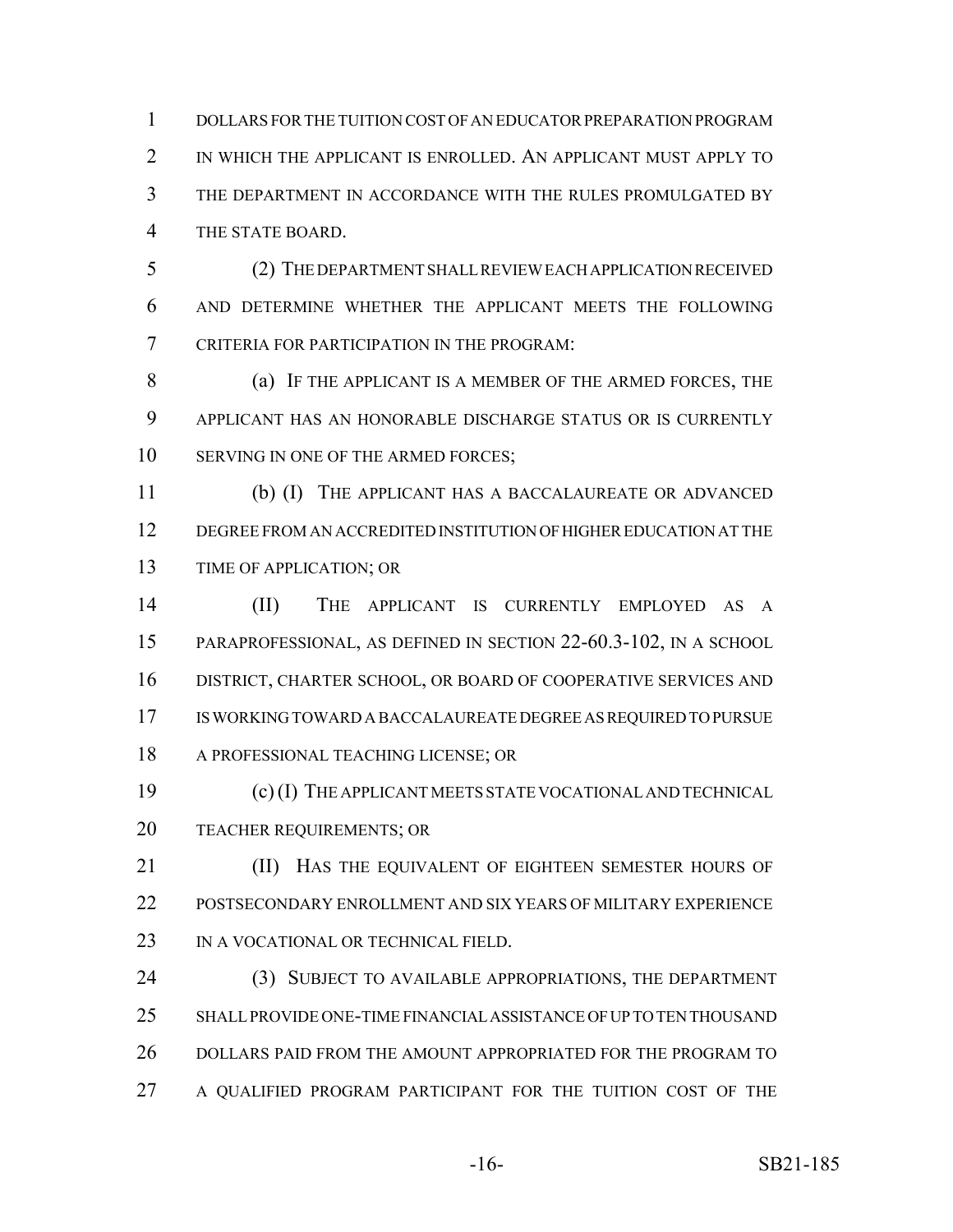DOLLARS FOR THE TUITION COST OF AN EDUCATOR PREPARATION PROGRAM 2 IN WHICH THE APPLICANT IS ENROLLED. AN APPLICANT MUST APPLY TO THE DEPARTMENT IN ACCORDANCE WITH THE RULES PROMULGATED BY THE STATE BOARD.

 (2) THE DEPARTMENT SHALL REVIEW EACH APPLICATION RECEIVED AND DETERMINE WHETHER THE APPLICANT MEETS THE FOLLOWING CRITERIA FOR PARTICIPATION IN THE PROGRAM:

 (a) IF THE APPLICANT IS A MEMBER OF THE ARMED FORCES, THE APPLICANT HAS AN HONORABLE DISCHARGE STATUS OR IS CURRENTLY 10 SERVING IN ONE OF THE ARMED FORCES;

 (b) (I) THE APPLICANT HAS A BACCALAUREATE OR ADVANCED DEGREE FROM AN ACCREDITED INSTITUTION OF HIGHER EDUCATION AT THE TIME OF APPLICATION; OR

 (II) THE APPLICANT IS CURRENTLY EMPLOYED AS A PARAPROFESSIONAL, AS DEFINED IN SECTION 22-60.3-102, IN A SCHOOL DISTRICT, CHARTER SCHOOL, OR BOARD OF COOPERATIVE SERVICES AND IS WORKING TOWARD A BACCALAUREATE DEGREE AS REQUIRED TO PURSUE A PROFESSIONAL TEACHING LICENSE; OR

 (c) (I) THE APPLICANT MEETS STATE VOCATIONAL AND TECHNICAL TEACHER REQUIREMENTS; OR

**III)** HAS THE EQUIVALENT OF EIGHTEEN SEMESTER HOURS OF POSTSECONDARY ENROLLMENT AND SIX YEARS OF MILITARY EXPERIENCE 23 IN A VOCATIONAL OR TECHNICAL FIELD.

 (3) SUBJECT TO AVAILABLE APPROPRIATIONS, THE DEPARTMENT SHALL PROVIDE ONE-TIME FINANCIAL ASSISTANCE OF UP TO TEN THOUSAND 26 DOLLARS PAID FROM THE AMOUNT APPROPRIATED FOR THE PROGRAM TO 27 A QUALIFIED PROGRAM PARTICIPANT FOR THE TUITION COST OF THE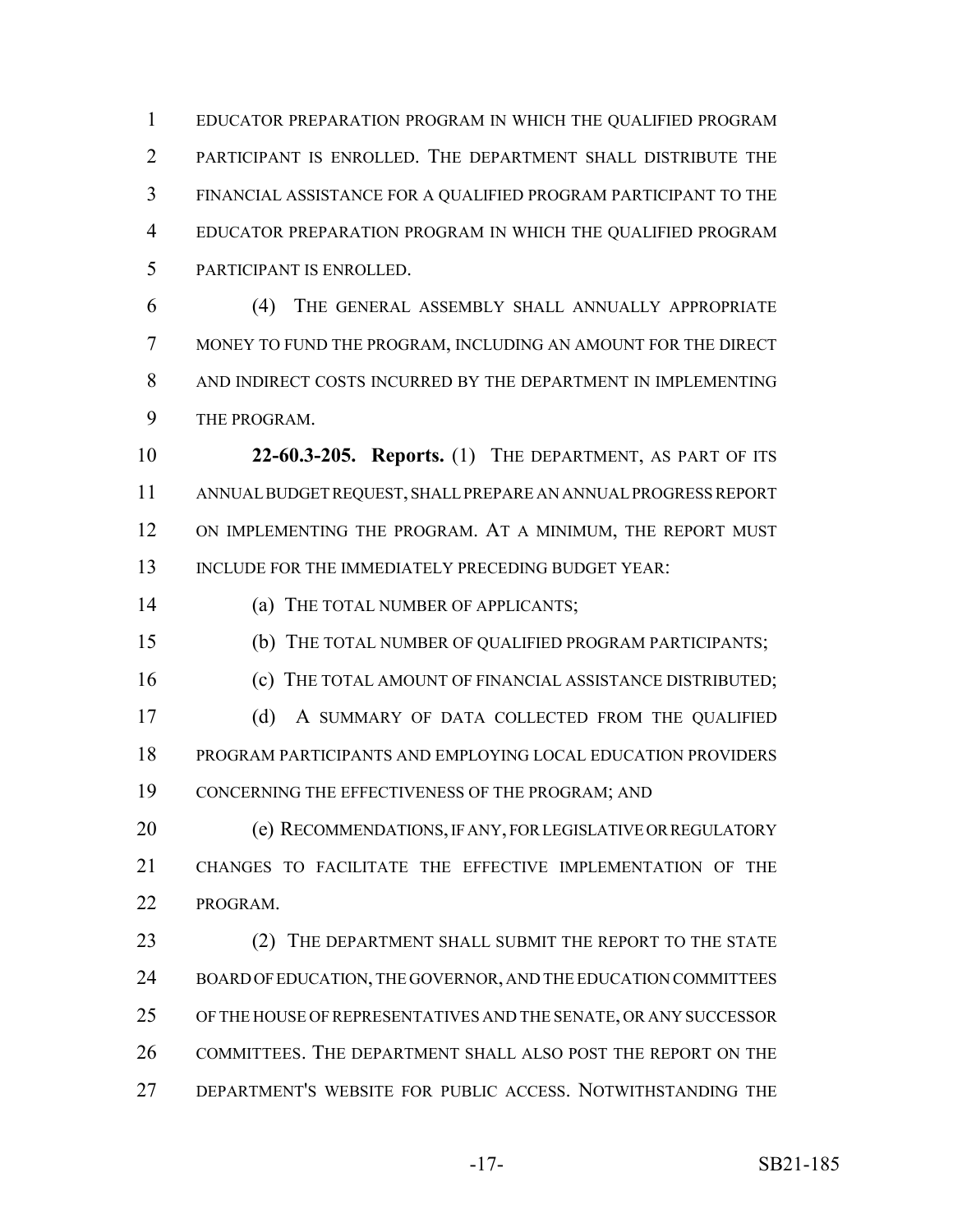EDUCATOR PREPARATION PROGRAM IN WHICH THE QUALIFIED PROGRAM PARTICIPANT IS ENROLLED. THE DEPARTMENT SHALL DISTRIBUTE THE FINANCIAL ASSISTANCE FOR A QUALIFIED PROGRAM PARTICIPANT TO THE EDUCATOR PREPARATION PROGRAM IN WHICH THE QUALIFIED PROGRAM PARTICIPANT IS ENROLLED.

 (4) THE GENERAL ASSEMBLY SHALL ANNUALLY APPROPRIATE MONEY TO FUND THE PROGRAM, INCLUDING AN AMOUNT FOR THE DIRECT AND INDIRECT COSTS INCURRED BY THE DEPARTMENT IN IMPLEMENTING THE PROGRAM.

 **22-60.3-205. Reports.** (1) THE DEPARTMENT, AS PART OF ITS ANNUAL BUDGET REQUEST, SHALL PREPARE AN ANNUAL PROGRESS REPORT ON IMPLEMENTING THE PROGRAM. AT A MINIMUM, THE REPORT MUST 13 INCLUDE FOR THE IMMEDIATELY PRECEDING BUDGET YEAR:

(a) THE TOTAL NUMBER OF APPLICANTS;

(b) THE TOTAL NUMBER OF QUALIFIED PROGRAM PARTICIPANTS;

16 (c) THE TOTAL AMOUNT OF FINANCIAL ASSISTANCE DISTRIBUTED; 17 (d) A SUMMARY OF DATA COLLECTED FROM THE QUALIFIED

 PROGRAM PARTICIPANTS AND EMPLOYING LOCAL EDUCATION PROVIDERS CONCERNING THE EFFECTIVENESS OF THE PROGRAM; AND

**(e) RECOMMENDATIONS, IF ANY, FOR LEGISLATIVE OR REGULATORY**  CHANGES TO FACILITATE THE EFFECTIVE IMPLEMENTATION OF THE PROGRAM.

23 (2) THE DEPARTMENT SHALL SUBMIT THE REPORT TO THE STATE 24 BOARD OF EDUCATION, THE GOVERNOR, AND THE EDUCATION COMMITTEES OF THE HOUSE OF REPRESENTATIVES AND THE SENATE, OR ANY SUCCESSOR COMMITTEES. THE DEPARTMENT SHALL ALSO POST THE REPORT ON THE DEPARTMENT'S WEBSITE FOR PUBLIC ACCESS. NOTWITHSTANDING THE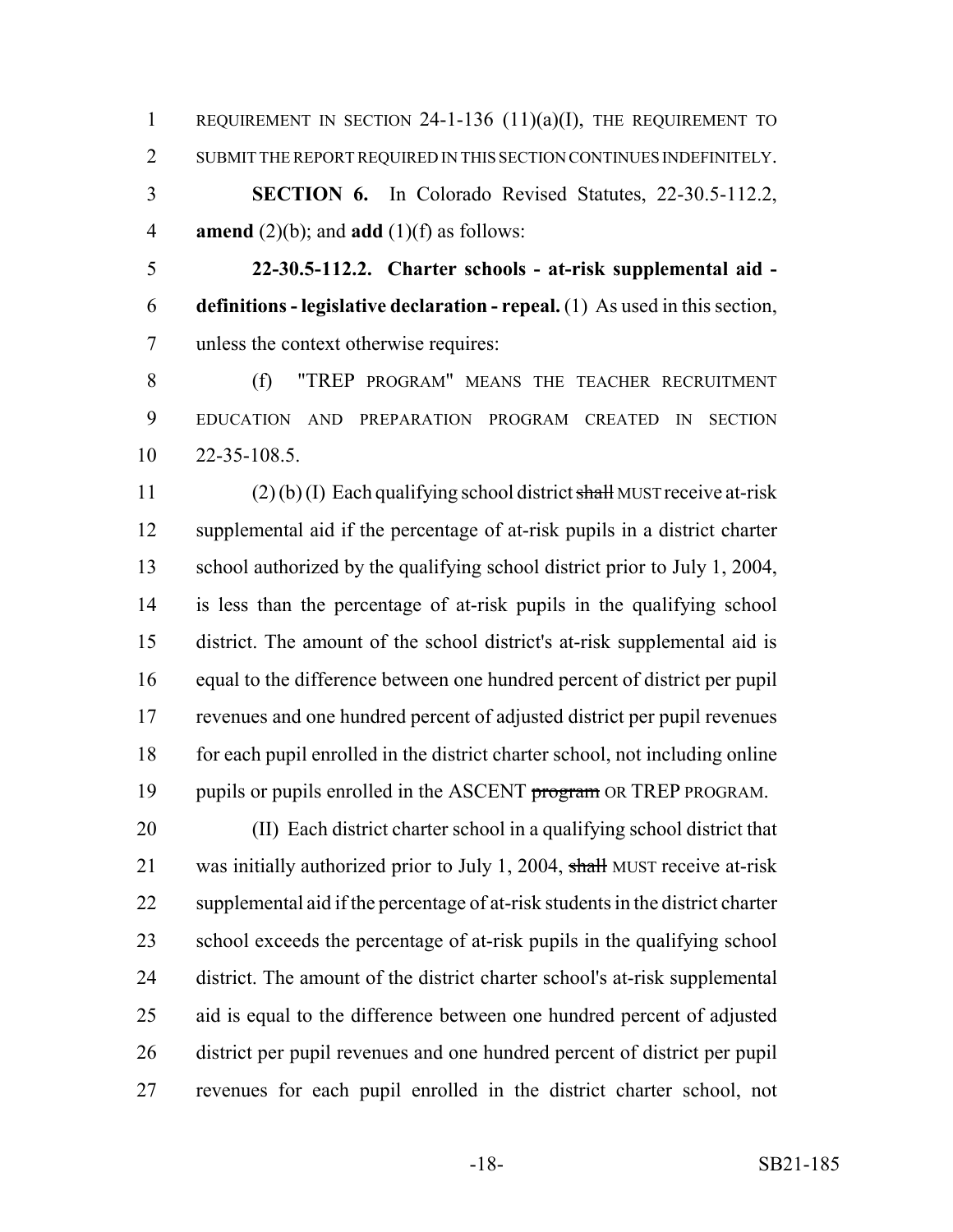REQUIREMENT IN SECTION 24-1-136 (11)(a)(I), THE REQUIREMENT TO SUBMIT THE REPORT REQUIRED IN THIS SECTION CONTINUES INDEFINITELY. **SECTION 6.** In Colorado Revised Statutes, 22-30.5-112.2,

**amend** (2)(b); and **add** (1)(f) as follows:

 **22-30.5-112.2. Charter schools - at-risk supplemental aid - definitions - legislative declaration - repeal.** (1) As used in this section, unless the context otherwise requires:

 (f) "TREP PROGRAM" MEANS THE TEACHER RECRUITMENT EDUCATION AND PREPARATION PROGRAM CREATED IN SECTION 22-35-108.5.

11 (2) (b) (I) Each qualifying school district shall MUST receive at-risk supplemental aid if the percentage of at-risk pupils in a district charter school authorized by the qualifying school district prior to July 1, 2004, is less than the percentage of at-risk pupils in the qualifying school district. The amount of the school district's at-risk supplemental aid is equal to the difference between one hundred percent of district per pupil revenues and one hundred percent of adjusted district per pupil revenues for each pupil enrolled in the district charter school, not including online 19 pupils or pupils enrolled in the ASCENT program OR TREP PROGRAM.

 (II) Each district charter school in a qualifying school district that 21 was initially authorized prior to July 1, 2004, shall MUST receive at-risk supplemental aid if the percentage of at-risk students in the district charter school exceeds the percentage of at-risk pupils in the qualifying school district. The amount of the district charter school's at-risk supplemental aid is equal to the difference between one hundred percent of adjusted district per pupil revenues and one hundred percent of district per pupil revenues for each pupil enrolled in the district charter school, not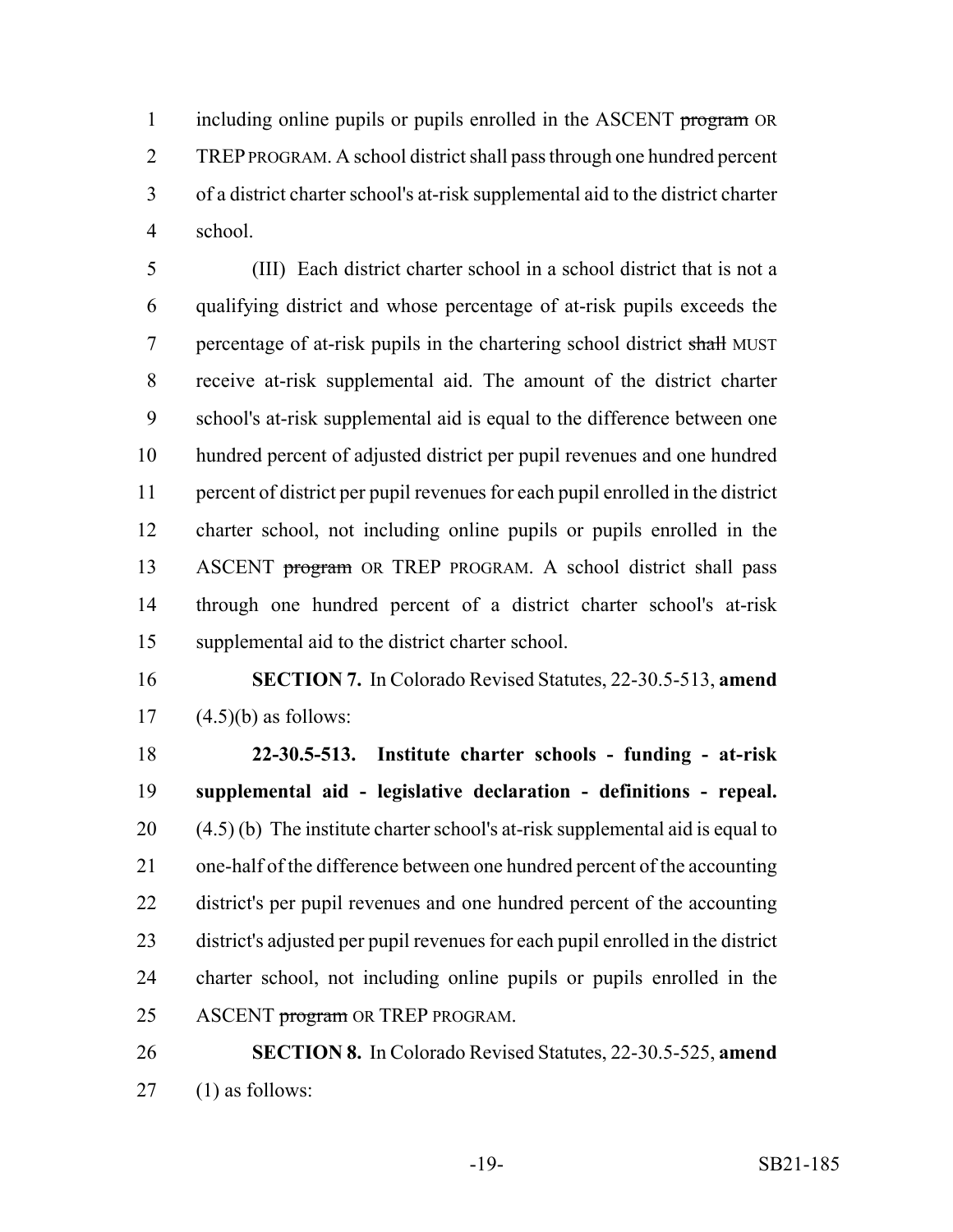1 including online pupils or pupils enrolled in the ASCENT program OR TREP PROGRAM. A school district shall pass through one hundred percent of a district charter school's at-risk supplemental aid to the district charter school.

 (III) Each district charter school in a school district that is not a qualifying district and whose percentage of at-risk pupils exceeds the 7 percentage of at-risk pupils in the chartering school district shall MUST receive at-risk supplemental aid. The amount of the district charter school's at-risk supplemental aid is equal to the difference between one hundred percent of adjusted district per pupil revenues and one hundred percent of district per pupil revenues for each pupil enrolled in the district charter school, not including online pupils or pupils enrolled in the 13 ASCENT program OR TREP PROGRAM. A school district shall pass through one hundred percent of a district charter school's at-risk supplemental aid to the district charter school.

 **SECTION 7.** In Colorado Revised Statutes, 22-30.5-513, **amend** 17  $(4.5)(b)$  as follows:

 **22-30.5-513. Institute charter schools - funding - at-risk supplemental aid - legislative declaration - definitions - repeal.** (4.5) (b) The institute charter school's at-risk supplemental aid is equal to one-half of the difference between one hundred percent of the accounting district's per pupil revenues and one hundred percent of the accounting district's adjusted per pupil revenues for each pupil enrolled in the district charter school, not including online pupils or pupils enrolled in the 25 ASCENT program OR TREP PROGRAM.

 **SECTION 8.** In Colorado Revised Statutes, 22-30.5-525, **amend** (1) as follows: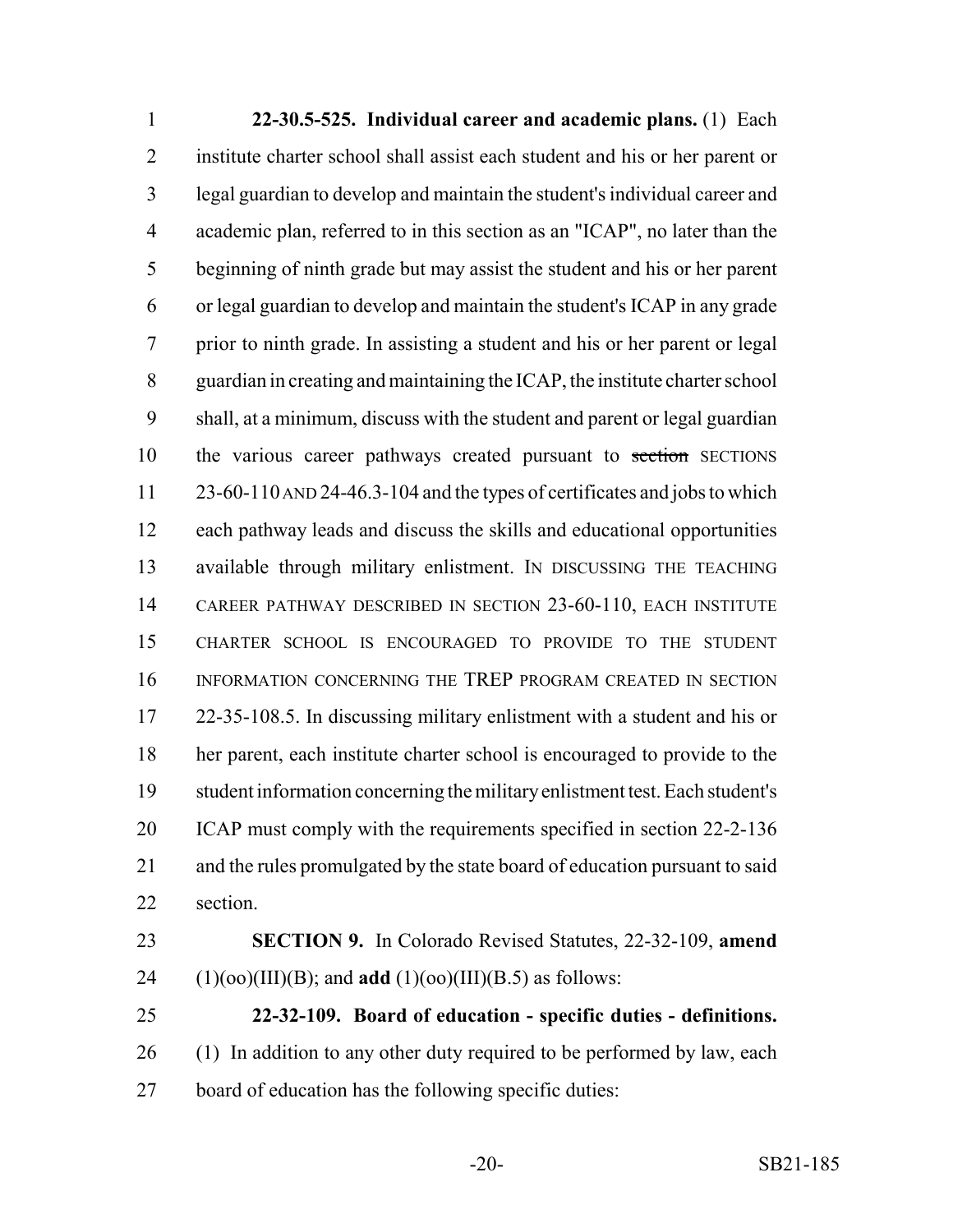**22-30.5-525. Individual career and academic plans.** (1) Each institute charter school shall assist each student and his or her parent or legal guardian to develop and maintain the student's individual career and academic plan, referred to in this section as an "ICAP", no later than the beginning of ninth grade but may assist the student and his or her parent or legal guardian to develop and maintain the student's ICAP in any grade prior to ninth grade. In assisting a student and his or her parent or legal guardian in creating and maintaining the ICAP, the institute charter school shall, at a minimum, discuss with the student and parent or legal guardian 10 the various career pathways created pursuant to section SECTIONS 23-60-110 AND 24-46.3-104 and the types of certificates and jobs to which each pathway leads and discuss the skills and educational opportunities available through military enlistment. IN DISCUSSING THE TEACHING CAREER PATHWAY DESCRIBED IN SECTION 23-60-110, EACH INSTITUTE CHARTER SCHOOL IS ENCOURAGED TO PROVIDE TO THE STUDENT INFORMATION CONCERNING THE TREP PROGRAM CREATED IN SECTION 22-35-108.5. In discussing military enlistment with a student and his or her parent, each institute charter school is encouraged to provide to the student information concerning the military enlistment test. Each student's ICAP must comply with the requirements specified in section 22-2-136 and the rules promulgated by the state board of education pursuant to said section.

 **SECTION 9.** In Colorado Revised Statutes, 22-32-109, **amend** (1)(oo)(III)(B); and **add** (1)(oo)(III)(B.5) as follows:

 **22-32-109. Board of education - specific duties - definitions.** 26 (1) In addition to any other duty required to be performed by law, each board of education has the following specific duties: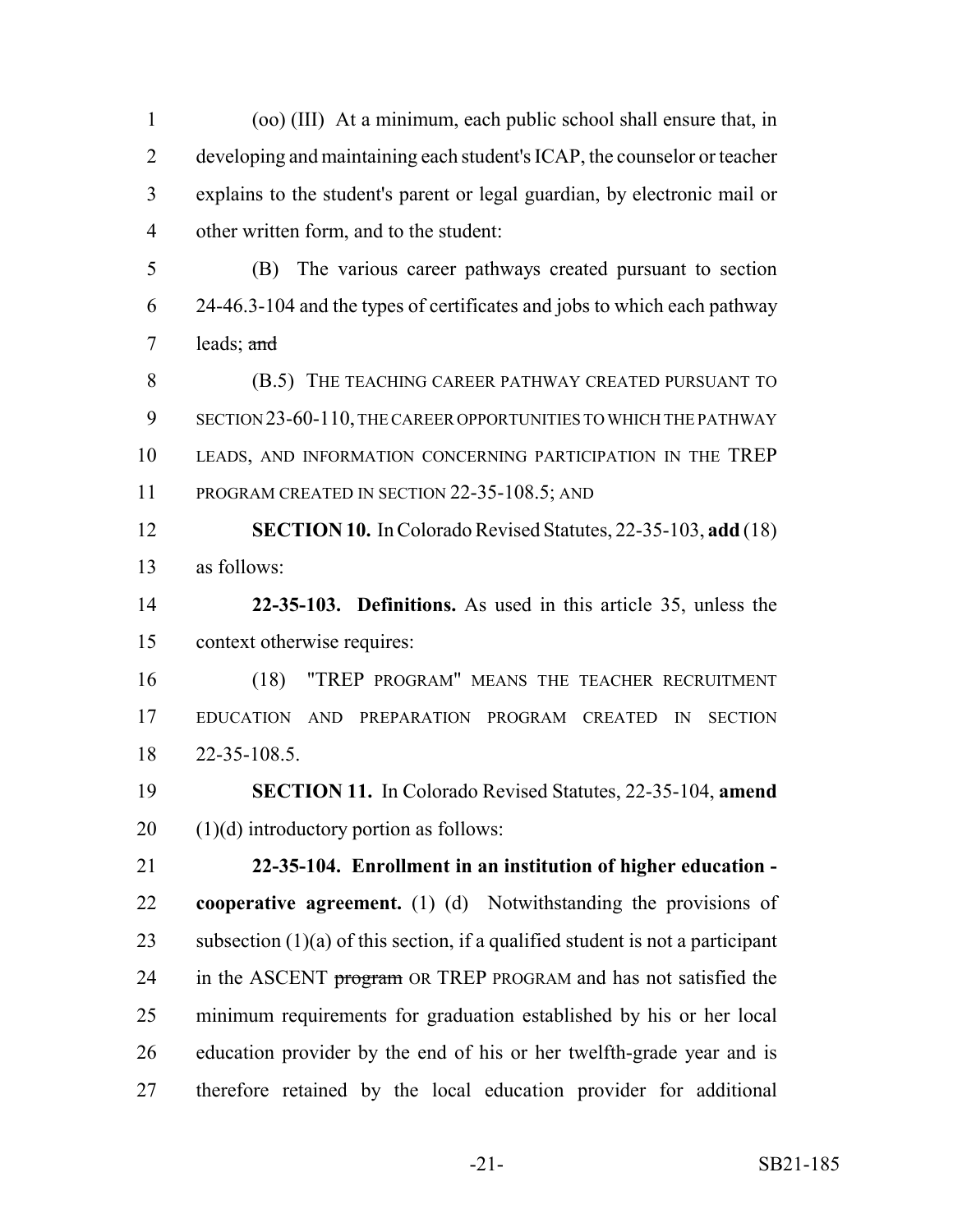developing and maintaining each student's ICAP, the counselor or teacher explains to the student's parent or legal guardian, by electronic mail or other written form, and to the student: (B) The various career pathways created pursuant to section 24-46.3-104 and the types of certificates and jobs to which each pathway leads; and **(B.5) THE TEACHING CAREER PATHWAY CREATED PURSUANT TO**  SECTION 23-60-110, THE CAREER OPPORTUNITIES TO WHICH THE PATHWAY LEADS, AND INFORMATION CONCERNING PARTICIPATION IN THE TREP 11 PROGRAM CREATED IN SECTION 22-35-108.5; AND **SECTION 10.** In Colorado Revised Statutes, 22-35-103, **add** (18) as follows: **22-35-103. Definitions.** As used in this article 35, unless the context otherwise requires: (18) "TREP PROGRAM" MEANS THE TEACHER RECRUITMENT EDUCATION AND PREPARATION PROGRAM CREATED IN SECTION 22-35-108.5. **SECTION 11.** In Colorado Revised Statutes, 22-35-104, **amend** (1)(d) introductory portion as follows: **22-35-104. Enrollment in an institution of higher education - cooperative agreement.** (1) (d) Notwithstanding the provisions of 23 subsection  $(1)(a)$  of this section, if a qualified student is not a participant 24 in the ASCENT program OR TREP PROGRAM and has not satisfied the minimum requirements for graduation established by his or her local education provider by the end of his or her twelfth-grade year and is therefore retained by the local education provider for additional

(oo) (III) At a minimum, each public school shall ensure that, in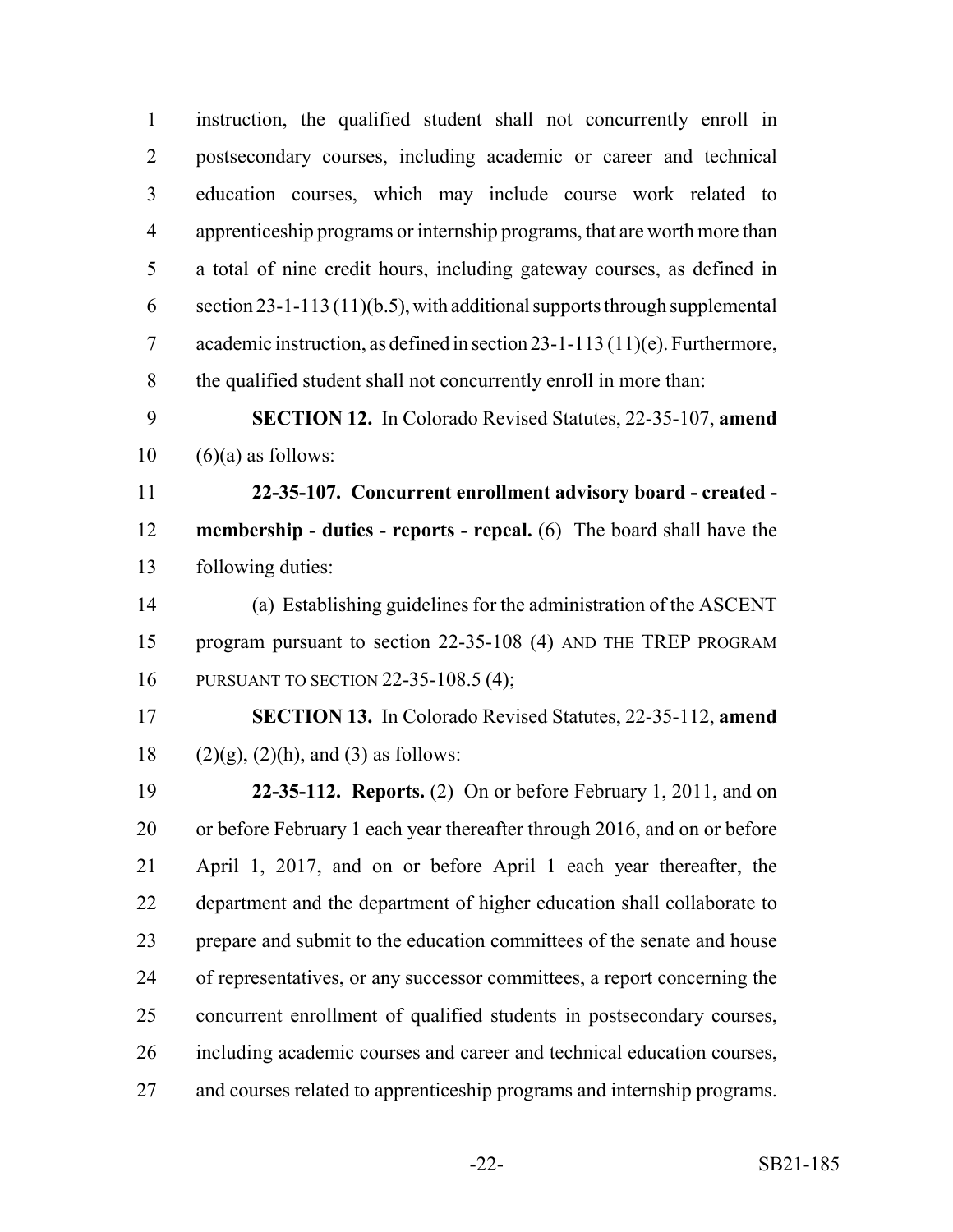instruction, the qualified student shall not concurrently enroll in postsecondary courses, including academic or career and technical education courses, which may include course work related to apprenticeship programs or internship programs, that are worth more than a total of nine credit hours, including gateway courses, as defined in section 23-1-113 (11)(b.5), with additional supports through supplemental academic instruction, as defined in section 23-1-113 (11)(e). Furthermore, the qualified student shall not concurrently enroll in more than: **SECTION 12.** In Colorado Revised Statutes, 22-35-107, **amend**  $10 \quad (6)(a)$  as follows: **22-35-107. Concurrent enrollment advisory board - created - membership - duties - reports - repeal.** (6) The board shall have the following duties: (a) Establishing guidelines for the administration of the ASCENT program pursuant to section 22-35-108 (4) AND THE TREP PROGRAM PURSUANT TO SECTION 22-35-108.5 (4); **SECTION 13.** In Colorado Revised Statutes, 22-35-112, **amend** 18 (2)(g), (2)(h), and (3) as follows: **22-35-112. Reports.** (2) On or before February 1, 2011, and on or before February 1 each year thereafter through 2016, and on or before April 1, 2017, and on or before April 1 each year thereafter, the department and the department of higher education shall collaborate to prepare and submit to the education committees of the senate and house of representatives, or any successor committees, a report concerning the concurrent enrollment of qualified students in postsecondary courses, including academic courses and career and technical education courses, and courses related to apprenticeship programs and internship programs.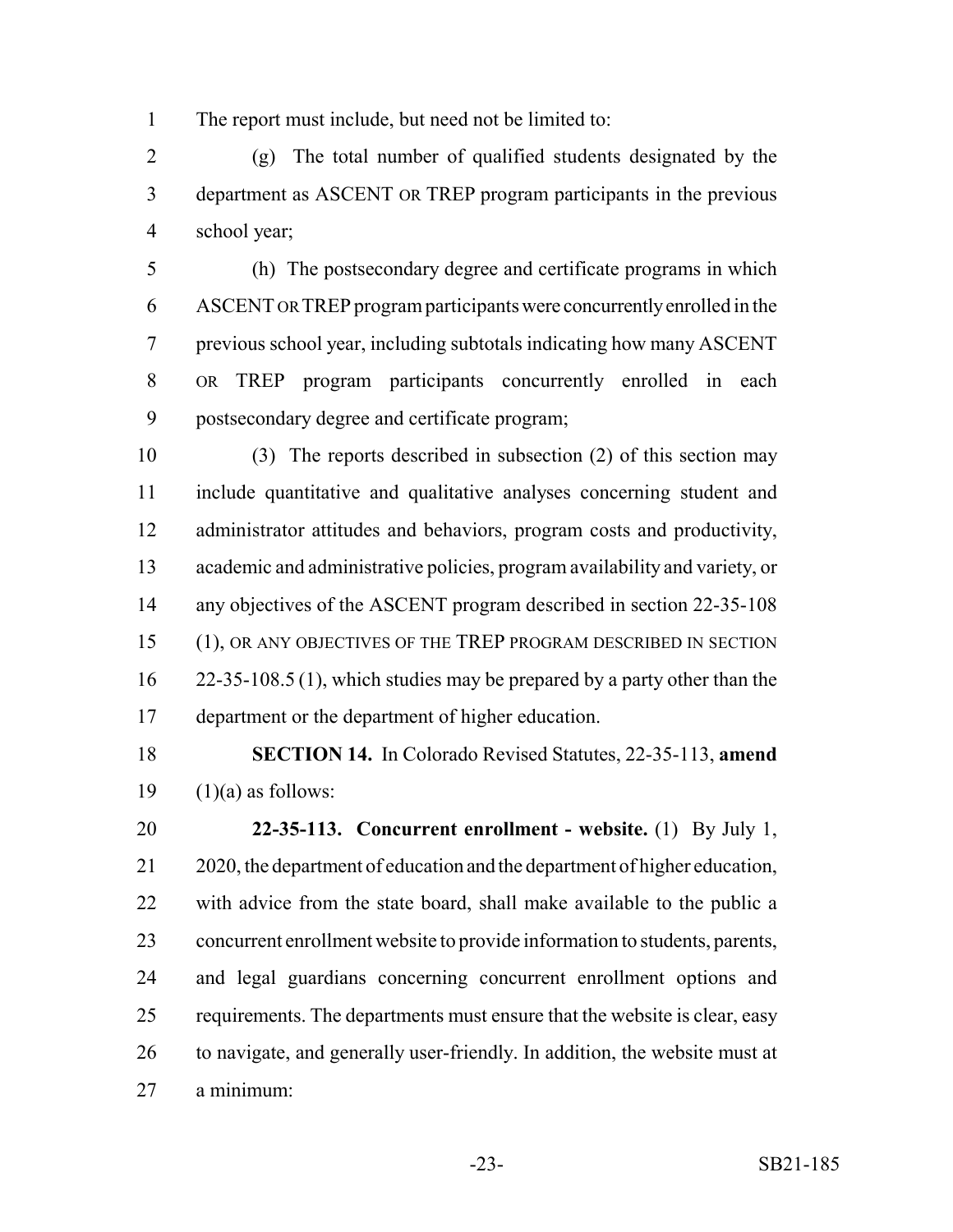The report must include, but need not be limited to:

 (g) The total number of qualified students designated by the department as ASCENT OR TREP program participants in the previous school year;

 (h) The postsecondary degree and certificate programs in which ASCENT OR TREP program participants were concurrently enrolled in the previous school year, including subtotals indicating how many ASCENT OR TREP program participants concurrently enrolled in each postsecondary degree and certificate program;

 (3) The reports described in subsection (2) of this section may include quantitative and qualitative analyses concerning student and administrator attitudes and behaviors, program costs and productivity, academic and administrative policies, program availability and variety, or any objectives of the ASCENT program described in section 22-35-108 (1), OR ANY OBJECTIVES OF THE TREP PROGRAM DESCRIBED IN SECTION 16 22-35-108.5 (1), which studies may be prepared by a party other than the department or the department of higher education.

 **SECTION 14.** In Colorado Revised Statutes, 22-35-113, **amend** 19  $(1)(a)$  as follows:

 **22-35-113. Concurrent enrollment - website.** (1) By July 1, 2020, the department of education and the department of higher education, with advice from the state board, shall make available to the public a concurrent enrollment website to provide information to students, parents, and legal guardians concerning concurrent enrollment options and 25 requirements. The departments must ensure that the website is clear, easy to navigate, and generally user-friendly. In addition, the website must at a minimum: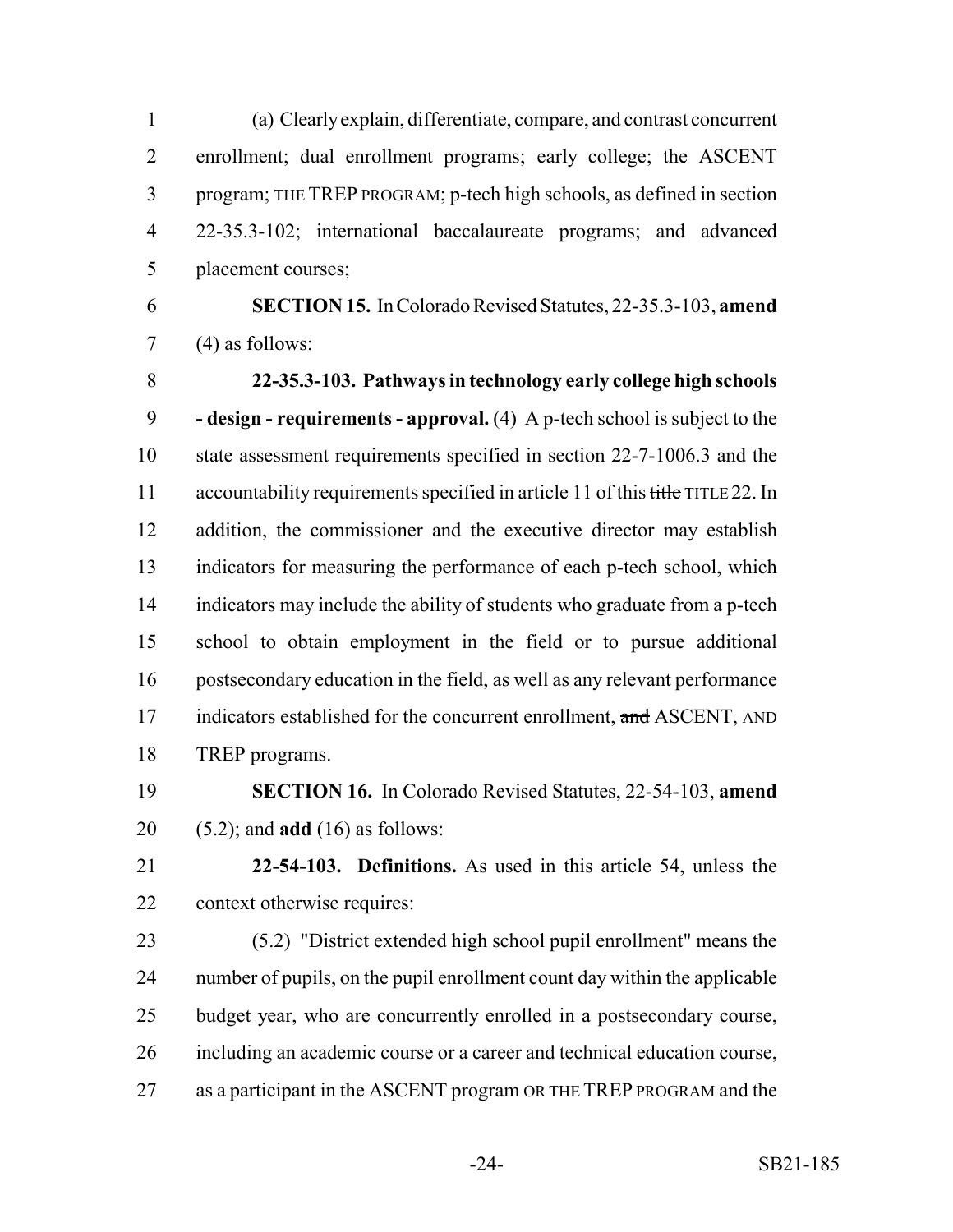(a) Clearly explain, differentiate, compare, and contrast concurrent enrollment; dual enrollment programs; early college; the ASCENT program; THE TREP PROGRAM; p-tech high schools, as defined in section 22-35.3-102; international baccalaureate programs; and advanced placement courses;

 **SECTION 15.** In Colorado Revised Statutes, 22-35.3-103, **amend** (4) as follows:

 **22-35.3-103. Pathways in technology early college high schools - design - requirements - approval.** (4) A p-tech school is subject to the state assessment requirements specified in section 22-7-1006.3 and the 11 accountability requirements specified in article 11 of this title TITLE 22. In addition, the commissioner and the executive director may establish indicators for measuring the performance of each p-tech school, which indicators may include the ability of students who graduate from a p-tech school to obtain employment in the field or to pursue additional postsecondary education in the field, as well as any relevant performance 17 indicators established for the concurrent enrollment, and ASCENT, AND TREP programs.

 **SECTION 16.** In Colorado Revised Statutes, 22-54-103, **amend** (5.2); and **add** (16) as follows:

 **22-54-103. Definitions.** As used in this article 54, unless the context otherwise requires:

 (5.2) "District extended high school pupil enrollment" means the number of pupils, on the pupil enrollment count day within the applicable budget year, who are concurrently enrolled in a postsecondary course, including an academic course or a career and technical education course, as a participant in the ASCENT program OR THE TREP PROGRAM and the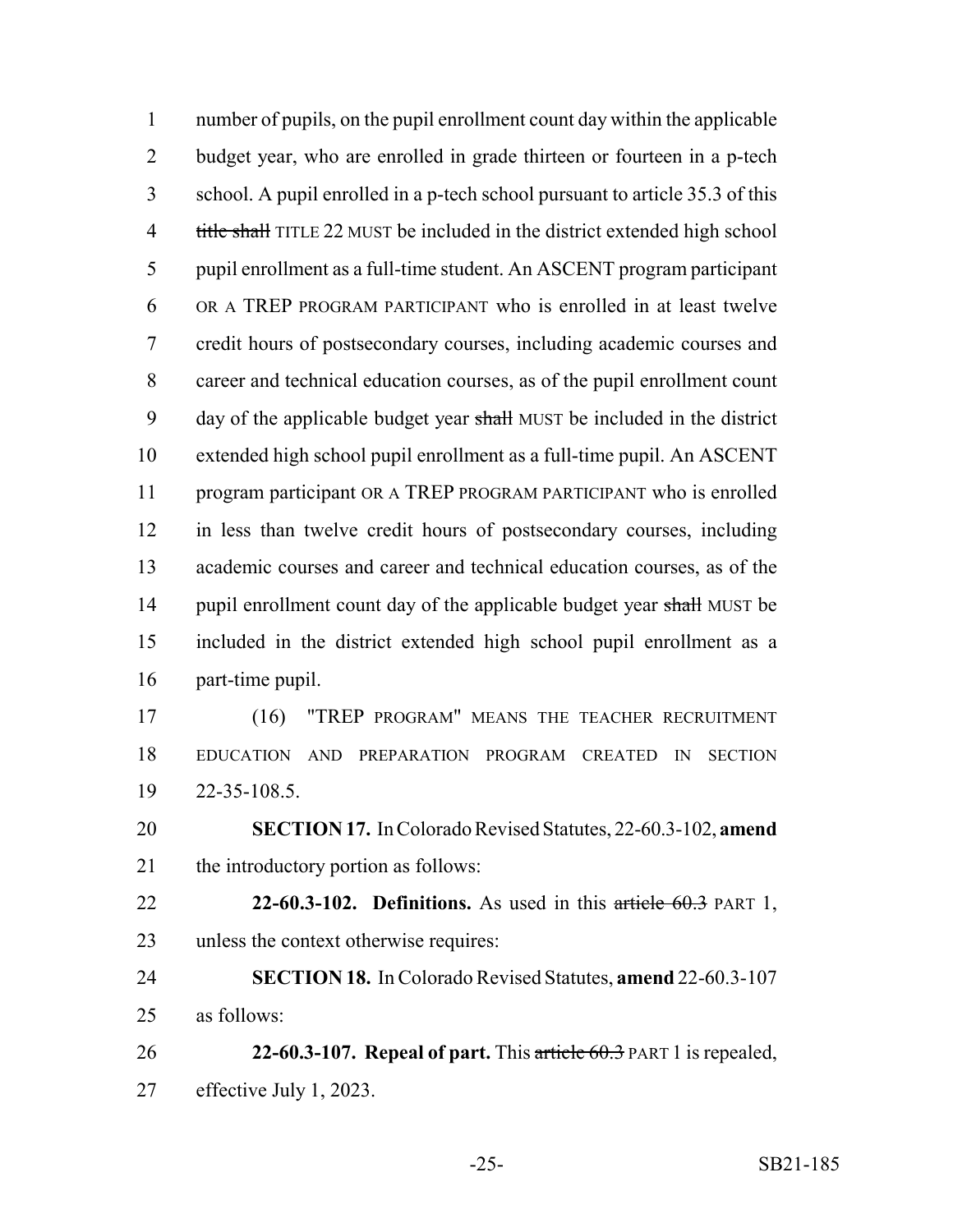number of pupils, on the pupil enrollment count day within the applicable budget year, who are enrolled in grade thirteen or fourteen in a p-tech school. A pupil enrolled in a p-tech school pursuant to article 35.3 of this 4 title shall TITLE 22 MUST be included in the district extended high school pupil enrollment as a full-time student. An ASCENT program participant OR A TREP PROGRAM PARTICIPANT who is enrolled in at least twelve credit hours of postsecondary courses, including academic courses and career and technical education courses, as of the pupil enrollment count 9 day of the applicable budget year shall MUST be included in the district extended high school pupil enrollment as a full-time pupil. An ASCENT program participant OR A TREP PROGRAM PARTICIPANT who is enrolled in less than twelve credit hours of postsecondary courses, including academic courses and career and technical education courses, as of the 14 pupil enrollment count day of the applicable budget year shall MUST be included in the district extended high school pupil enrollment as a part-time pupil.

 (16) "TREP PROGRAM" MEANS THE TEACHER RECRUITMENT EDUCATION AND PREPARATION PROGRAM CREATED IN SECTION 22-35-108.5.

 **SECTION 17.** In Colorado Revised Statutes, 22-60.3-102, **amend** the introductory portion as follows:

 **22-60.3-102. Definitions.** As used in this article 60.3 PART 1, unless the context otherwise requires:

 **SECTION 18.** In Colorado Revised Statutes, **amend** 22-60.3-107 as follows:

 **22-60.3-107. Repeal of part.** This article 60.3 PART 1 is repealed, effective July 1, 2023.